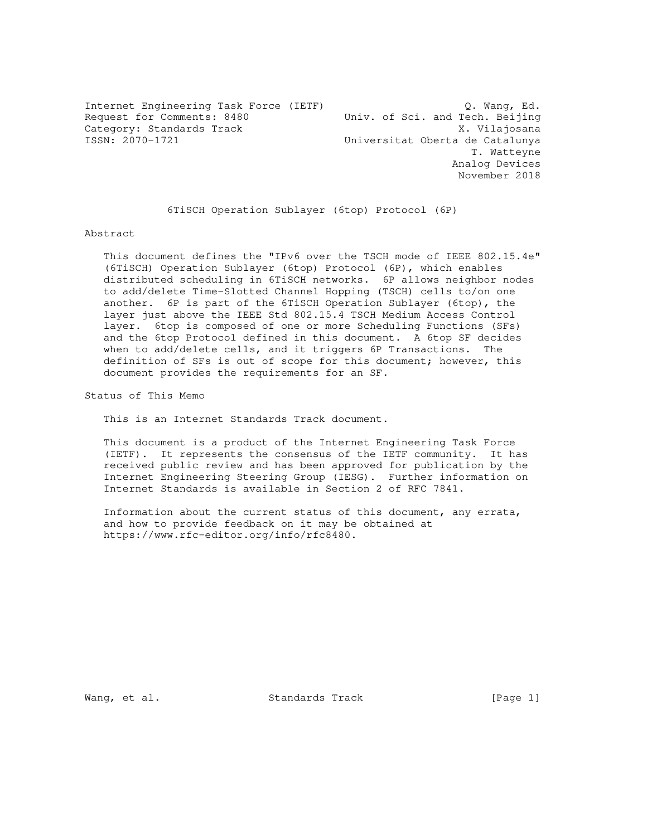Internet Engineering Task Force (IETF) Q. Wang, Ed.<br>Request for Comments: 8480 Univ. of Sci. and Tech. Beijing<br>Category: Standards Track v Vilaioners Request for Comments: 8480 Univ. of Sci. and Tech. Beijing Category: Standards Track and Maria Category: Standards Track and Maria Christian Maria Catalunya<br>
X. Vilajosana<br>
Universitat Oberta de Catalunya Universitat Oberta de Catalunya T. Watteyne Analog Devices November 2018

6TiSCH Operation Sublayer (6top) Protocol (6P)

Abstract

 This document defines the "IPv6 over the TSCH mode of IEEE 802.15.4e" (6TiSCH) Operation Sublayer (6top) Protocol (6P), which enables distributed scheduling in 6TiSCH networks. 6P allows neighbor nodes to add/delete Time-Slotted Channel Hopping (TSCH) cells to/on one another. 6P is part of the 6TiSCH Operation Sublayer (6top), the layer just above the IEEE Std 802.15.4 TSCH Medium Access Control layer. 6top is composed of one or more Scheduling Functions (SFs) and the 6top Protocol defined in this document. A 6top SF decides when to add/delete cells, and it triggers 6P Transactions. The definition of SFs is out of scope for this document; however, this document provides the requirements for an SF.

Status of This Memo

This is an Internet Standards Track document.

 This document is a product of the Internet Engineering Task Force (IETF). It represents the consensus of the IETF community. It has received public review and has been approved for publication by the Internet Engineering Steering Group (IESG). Further information on Internet Standards is available in Section 2 of RFC 7841.

 Information about the current status of this document, any errata, and how to provide feedback on it may be obtained at https://www.rfc-editor.org/info/rfc8480.

Wang, et al. Standards Track [Page 1]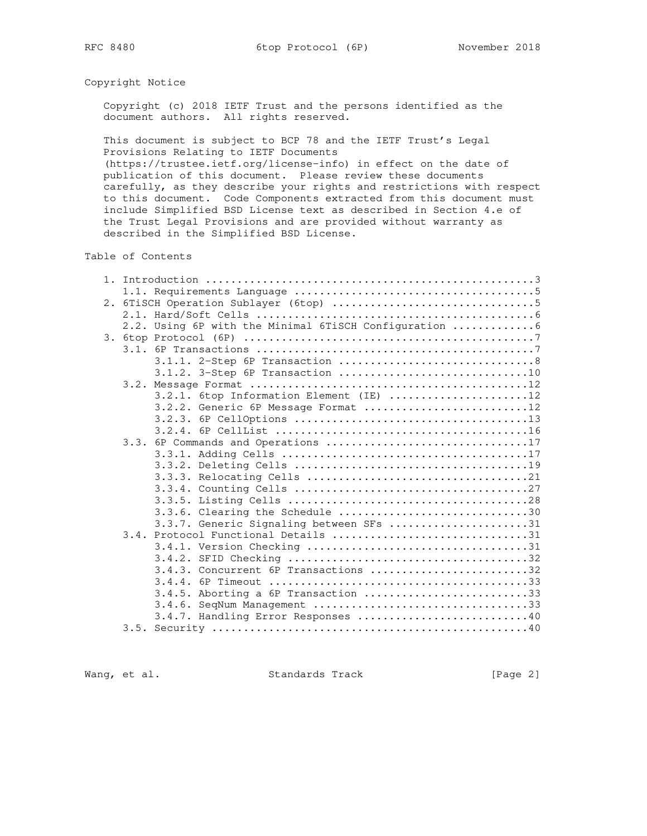# Copyright Notice

 Copyright (c) 2018 IETF Trust and the persons identified as the document authors. All rights reserved.

 This document is subject to BCP 78 and the IETF Trust's Legal Provisions Relating to IETF Documents

 (https://trustee.ietf.org/license-info) in effect on the date of publication of this document. Please review these documents carefully, as they describe your rights and restrictions with respect to this document. Code Components extracted from this document must include Simplified BSD License text as described in Section 4.e of the Trust Legal Provisions and are provided without warranty as described in the Simplified BSD License.

Table of Contents

|  | 2.2. Using 6P with the Minimal 6TiSCH Configuration 6 |  |
|--|-------------------------------------------------------|--|
|  |                                                       |  |
|  |                                                       |  |
|  |                                                       |  |
|  | 3.1.2. 3-Step 6P Transaction 10                       |  |
|  |                                                       |  |
|  | 3.2.1. 6top Information Element (IE) 12               |  |
|  | 3.2.2. Generic 6P Message Format 12                   |  |
|  |                                                       |  |
|  |                                                       |  |
|  | 3.3. 6P Commands and Operations 17                    |  |
|  |                                                       |  |
|  |                                                       |  |
|  |                                                       |  |
|  |                                                       |  |
|  |                                                       |  |
|  | 3.3.6. Clearing the Schedule 30                       |  |
|  | 3.3.7. Generic Signaling between SFs 31               |  |
|  | 3.4. Protocol Functional Details 31                   |  |
|  |                                                       |  |
|  |                                                       |  |
|  | 3.4.3. Concurrent 6P Transactions 32                  |  |
|  |                                                       |  |
|  | $3.4.5.$ Aborting a 6P Transaction 33                 |  |
|  | 3.4.6. SeqNum Management 33                           |  |
|  | 3.4.7. Handling Error Responses 40                    |  |
|  |                                                       |  |

Wang, et al. Standards Track [Page 2]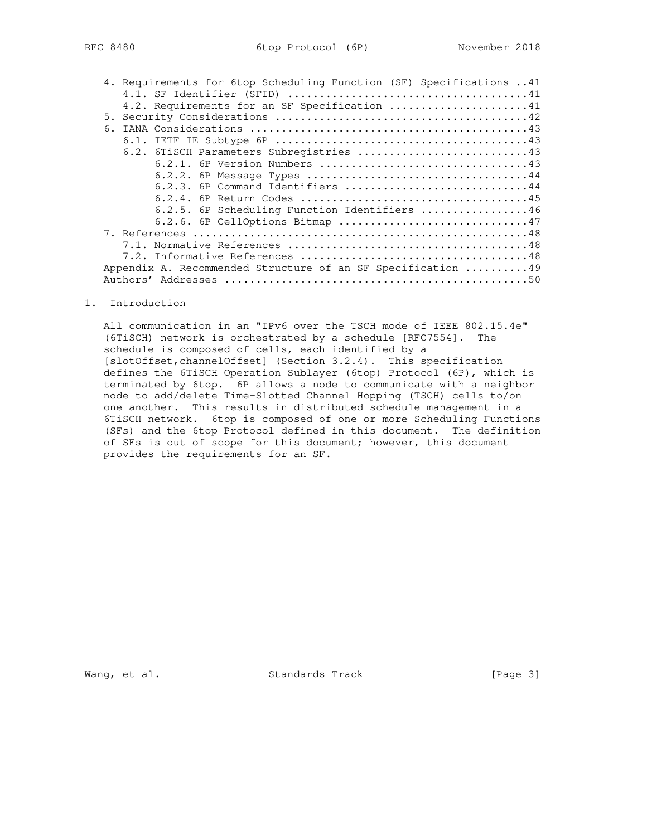| 'C 8480 |  |  |
|---------|--|--|
|         |  |  |

| 4. Requirements for 6top Scheduling Function (SF) Specifications 41 |
|---------------------------------------------------------------------|
|                                                                     |
| 4.2. Requirements for an SF Specification 41                        |
|                                                                     |
|                                                                     |
|                                                                     |
| 6.2. 6TiSCH Parameters Subregistries 43                             |
|                                                                     |
|                                                                     |
| 6.2.3. 6P Command Identifiers 44                                    |
|                                                                     |
| 6.2.5. 6P Scheduling Function Identifiers 46                        |
| 6.2.6. 6P CellOptions Bitmap 47                                     |
|                                                                     |
|                                                                     |
|                                                                     |
| Appendix A. Recommended Structure of an SF Specification  49        |
|                                                                     |

## 1. Introduction

 All communication in an "IPv6 over the TSCH mode of IEEE 802.15.4e" (6TiSCH) network is orchestrated by a schedule [RFC7554]. The schedule is composed of cells, each identified by a [slotOffset,channelOffset] (Section 3.2.4). This specification defines the 6TiSCH Operation Sublayer (6top) Protocol (6P), which is terminated by 6top. 6P allows a node to communicate with a neighbor node to add/delete Time-Slotted Channel Hopping (TSCH) cells to/on one another. This results in distributed schedule management in a 6TiSCH network. 6top is composed of one or more Scheduling Functions (SFs) and the 6top Protocol defined in this document. The definition of SFs is out of scope for this document; however, this document provides the requirements for an SF.

Wang, et al. Standards Track [Page 3]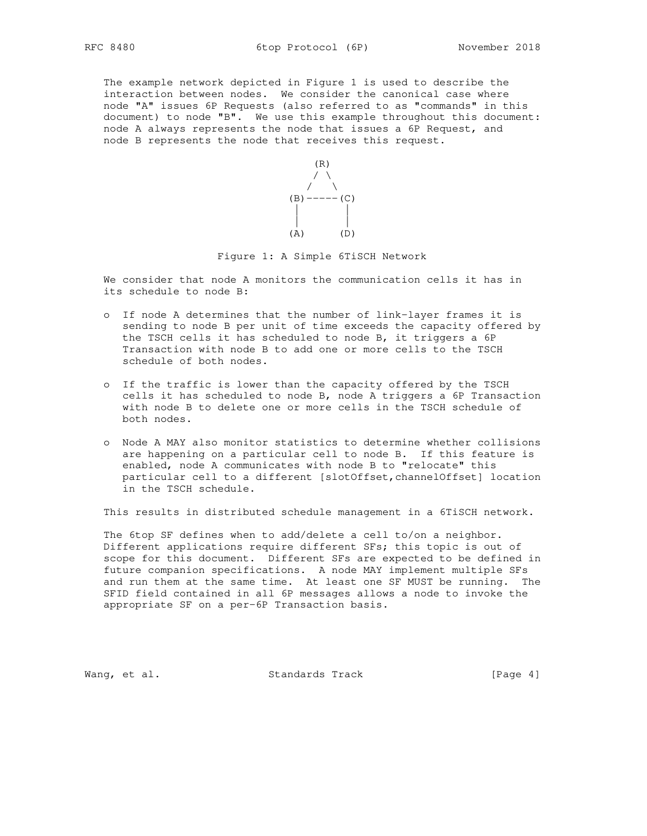The example network depicted in Figure 1 is used to describe the interaction between nodes. We consider the canonical case where node "A" issues 6P Requests (also referred to as "commands" in this document) to node "B". We use this example throughout this document: node A always represents the node that issues a 6P Request, and node B represents the node that receives this request.



### Figure 1: A Simple 6TiSCH Network

 We consider that node A monitors the communication cells it has in its schedule to node B:

- o If node A determines that the number of link-layer frames it is sending to node B per unit of time exceeds the capacity offered by the TSCH cells it has scheduled to node B, it triggers a 6P Transaction with node B to add one or more cells to the TSCH schedule of both nodes.
- o If the traffic is lower than the capacity offered by the TSCH cells it has scheduled to node B, node A triggers a 6P Transaction with node B to delete one or more cells in the TSCH schedule of both nodes.
- o Node A MAY also monitor statistics to determine whether collisions are happening on a particular cell to node B. If this feature is enabled, node A communicates with node B to "relocate" this particular cell to a different [slotOffset,channelOffset] location in the TSCH schedule.

This results in distributed schedule management in a 6TiSCH network.

 The 6top SF defines when to add/delete a cell to/on a neighbor. Different applications require different SFs; this topic is out of scope for this document. Different SFs are expected to be defined in future companion specifications. A node MAY implement multiple SFs and run them at the same time. At least one SF MUST be running. The SFID field contained in all 6P messages allows a node to invoke the appropriate SF on a per-6P Transaction basis.

Wang, et al. Standards Track [Page 4]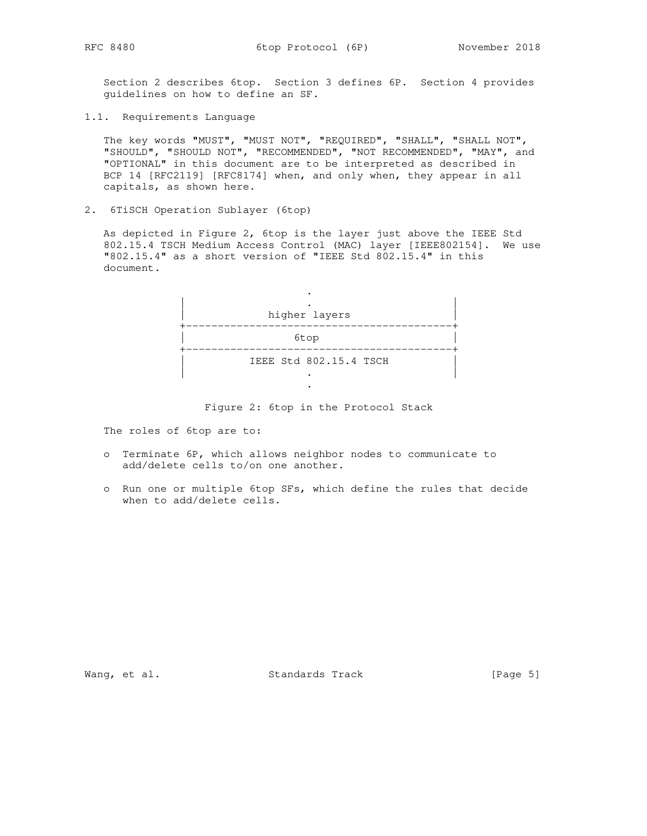Section 2 describes 6top. Section 3 defines 6P. Section 4 provides guidelines on how to define an SF.

1.1. Requirements Language

 The key words "MUST", "MUST NOT", "REQUIRED", "SHALL", "SHALL NOT", "SHOULD", "SHOULD NOT", "RECOMMENDED", "NOT RECOMMENDED", "MAY", and "OPTIONAL" in this document are to be interpreted as described in BCP 14 [RFC2119] [RFC8174] when, and only when, they appear in all capitals, as shown here.

2. 6TiSCH Operation Sublayer (6top)

 As depicted in Figure 2, 6top is the layer just above the IEEE Std 802.15.4 TSCH Medium Access Control (MAC) layer [IEEE802154]. We use "802.15.4" as a short version of "IEEE Std 802.15.4" in this document.



Figure 2: 6top in the Protocol Stack

The roles of 6top are to:

- o Terminate 6P, which allows neighbor nodes to communicate to add/delete cells to/on one another.
- o Run one or multiple 6top SFs, which define the rules that decide when to add/delete cells.

Wang, et al. Standards Track [Page 5]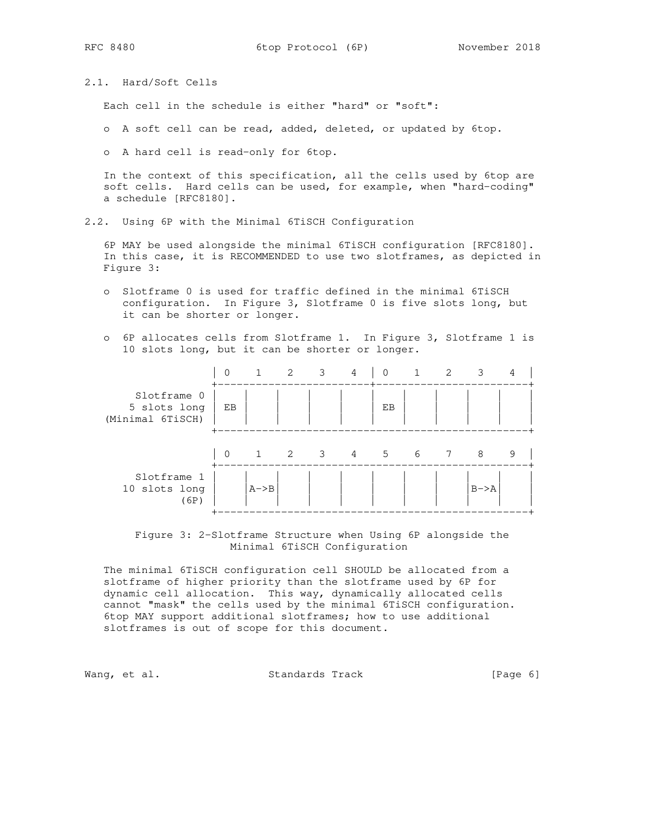2.1. Hard/Soft Cells

Each cell in the schedule is either "hard" or "soft":

- o A soft cell can be read, added, deleted, or updated by 6top.
- o A hard cell is read-only for 6top.

 In the context of this specification, all the cells used by 6top are soft cells. Hard cells can be used, for example, when "hard-coding" a schedule [RFC8180].

2.2. Using 6P with the Minimal 6TiSCH Configuration

 6P MAY be used alongside the minimal 6TiSCH configuration [RFC8180]. In this case, it is RECOMMENDED to use two slotframes, as depicted in Figure 3:

- o Slotframe 0 is used for traffic defined in the minimal 6TiSCH configuration. In Figure 3, Slotframe 0 is five slots long, but it can be shorter or longer.
- o 6P allocates cells from Slotframe 1. In Figure 3, Slotframe 1 is 10 slots long, but it can be shorter or longer.

|                                                 | $\mathbf 0$ |        | $\overline{2}$ | $\overline{\mathbf{3}}$ | 4               | $\mathbf 0$ | $\mathbf{1}$ | $\overline{2}$ | 3 | 4 |
|-------------------------------------------------|-------------|--------|----------------|-------------------------|-----------------|-------------|--------------|----------------|---|---|
| Slotframe 0<br>5 slots long<br>(Minimal 6TiSCH) | ЕB          |        |                |                         | -+              | EB          |              |                |   |   |
|                                                 | $\Omega$    | 1      | 2              | $\overline{\mathbf{3}}$ | $4\overline{4}$ | $5^{\circ}$ | - 6          | 7              | 8 | 9 |
| Slotframe 1<br>10 slots long<br>(6P)            |             | $A->B$ |                |                         |                 |             | $B->A$       |                |   |   |

 Figure 3: 2-Slotframe Structure when Using 6P alongside the Minimal 6TiSCH Configuration

 The minimal 6TiSCH configuration cell SHOULD be allocated from a slotframe of higher priority than the slotframe used by 6P for dynamic cell allocation. This way, dynamically allocated cells cannot "mask" the cells used by the minimal 6TiSCH configuration. 6top MAY support additional slotframes; how to use additional slotframes is out of scope for this document.

Wang, et al. Standards Track [Page 6]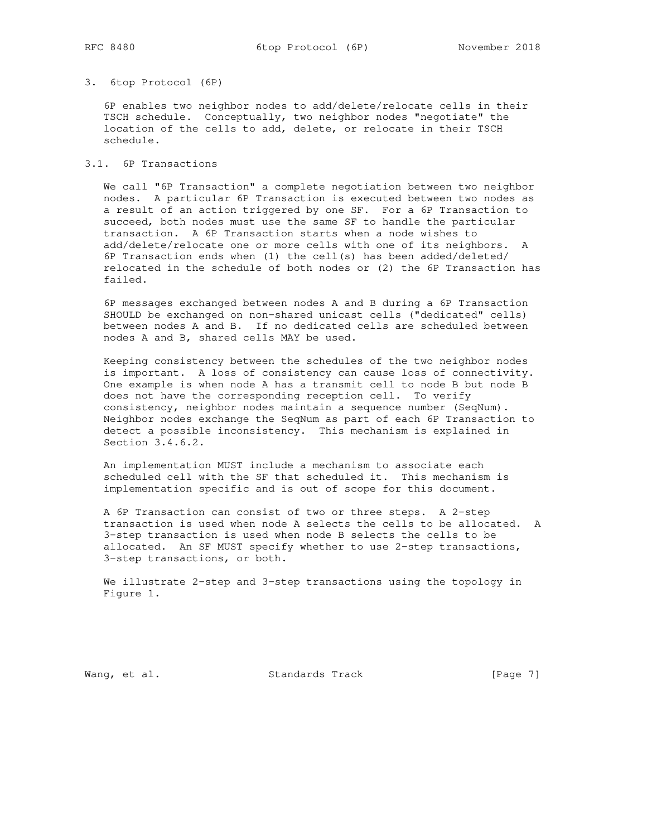### 3. 6top Protocol (6P)

 6P enables two neighbor nodes to add/delete/relocate cells in their TSCH schedule. Conceptually, two neighbor nodes "negotiate" the location of the cells to add, delete, or relocate in their TSCH schedule.

3.1. 6P Transactions

 We call "6P Transaction" a complete negotiation between two neighbor nodes. A particular 6P Transaction is executed between two nodes as a result of an action triggered by one SF. For a 6P Transaction to succeed, both nodes must use the same SF to handle the particular transaction. A 6P Transaction starts when a node wishes to add/delete/relocate one or more cells with one of its neighbors. A 6P Transaction ends when (1) the cell(s) has been added/deleted/ relocated in the schedule of both nodes or (2) the 6P Transaction has failed.

 6P messages exchanged between nodes A and B during a 6P Transaction SHOULD be exchanged on non-shared unicast cells ("dedicated" cells) between nodes A and B. If no dedicated cells are scheduled between nodes A and B, shared cells MAY be used.

 Keeping consistency between the schedules of the two neighbor nodes is important. A loss of consistency can cause loss of connectivity. One example is when node A has a transmit cell to node B but node B does not have the corresponding reception cell. To verify consistency, neighbor nodes maintain a sequence number (SeqNum). Neighbor nodes exchange the SeqNum as part of each 6P Transaction to detect a possible inconsistency. This mechanism is explained in Section 3.4.6.2.

 An implementation MUST include a mechanism to associate each scheduled cell with the SF that scheduled it. This mechanism is implementation specific and is out of scope for this document.

 A 6P Transaction can consist of two or three steps. A 2-step transaction is used when node A selects the cells to be allocated. A 3-step transaction is used when node B selects the cells to be allocated. An SF MUST specify whether to use 2-step transactions, 3-step transactions, or both.

 We illustrate 2-step and 3-step transactions using the topology in Figure 1.

Wang, et al. Standards Track [Page 7]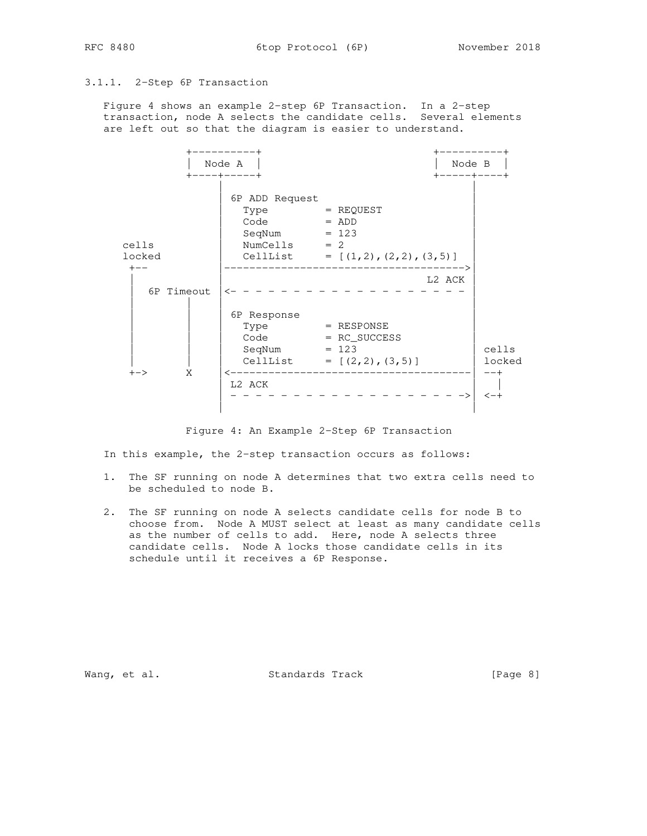# 3.1.1. 2-Step 6P Transaction

 Figure 4 shows an example 2-step 6P Transaction. In a 2-step transaction, node A selects the candidate cells. Several elements are left out so that the diagram is easier to understand.



Figure 4: An Example 2-Step 6P Transaction

In this example, the 2-step transaction occurs as follows:

- 1. The SF running on node A determines that two extra cells need to be scheduled to node B.
- 2. The SF running on node A selects candidate cells for node B to choose from. Node A MUST select at least as many candidate cells as the number of cells to add. Here, node A selects three candidate cells. Node A locks those candidate cells in its schedule until it receives a 6P Response.

Wang, et al. Standards Track and Executive to the Society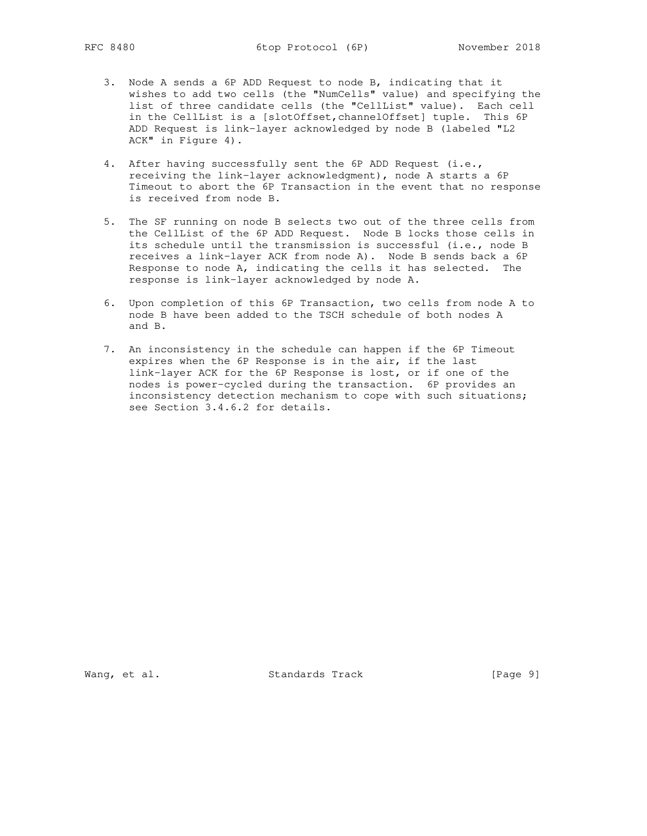- 3. Node A sends a 6P ADD Request to node B, indicating that it wishes to add two cells (the "NumCells" value) and specifying the list of three candidate cells (the "CellList" value). Each cell in the CellList is a [slotOffset, channelOffset] tuple. This 6P ADD Request is link-layer acknowledged by node B (labeled "L2 ACK" in Figure 4).
	- 4. After having successfully sent the 6P ADD Request (i.e., receiving the link-layer acknowledgment), node A starts a 6P Timeout to abort the 6P Transaction in the event that no response is received from node B.
- 5. The SF running on node B selects two out of the three cells from the CellList of the 6P ADD Request. Node B locks those cells in its schedule until the transmission is successful (i.e., node B receives a link-layer ACK from node A). Node B sends back a 6P Response to node A, indicating the cells it has selected. The response is link-layer acknowledged by node A.
	- 6. Upon completion of this 6P Transaction, two cells from node A to node B have been added to the TSCH schedule of both nodes A and B.
	- 7. An inconsistency in the schedule can happen if the 6P Timeout expires when the 6P Response is in the air, if the last link-layer ACK for the 6P Response is lost, or if one of the nodes is power-cycled during the transaction. 6P provides an inconsistency detection mechanism to cope with such situations; see Section 3.4.6.2 for details.

Wang, et al. Standards Track [Page 9]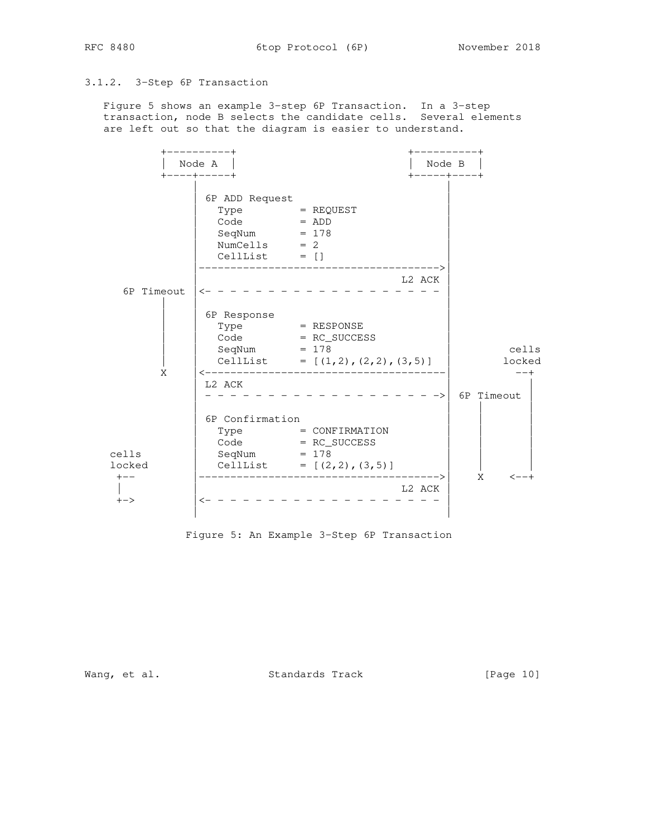# 3.1.2. 3-Step 6P Transaction

 Figure 5 shows an example 3-step 6P Transaction. In a 3-step transaction, node B selects the candidate cells. Several elements are left out so that the diagram is easier to understand.



Figure 5: An Example 3-Step 6P Transaction

Wang, et al. Standards Track [Page 10]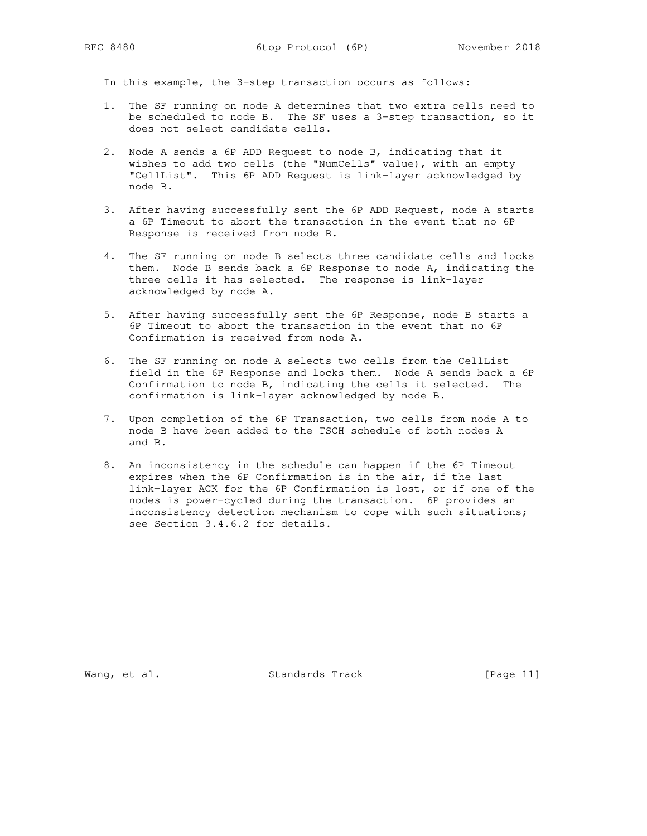In this example, the 3-step transaction occurs as follows:

- 1. The SF running on node A determines that two extra cells need to be scheduled to node B. The SF uses a 3-step transaction, so it does not select candidate cells.
- 2. Node A sends a 6P ADD Request to node B, indicating that it wishes to add two cells (the "NumCells" value), with an empty "CellList". This 6P ADD Request is link-layer acknowledged by node B.
- 3. After having successfully sent the 6P ADD Request, node A starts a 6P Timeout to abort the transaction in the event that no 6P Response is received from node B.
- 4. The SF running on node B selects three candidate cells and locks them. Node B sends back a 6P Response to node A, indicating the three cells it has selected. The response is link-layer acknowledged by node A.
- 5. After having successfully sent the 6P Response, node B starts a 6P Timeout to abort the transaction in the event that no 6P Confirmation is received from node A.
- 6. The SF running on node A selects two cells from the CellList field in the 6P Response and locks them. Node A sends back a 6P Confirmation to node B, indicating the cells it selected. The confirmation is link-layer acknowledged by node B.
- 7. Upon completion of the 6P Transaction, two cells from node A to node B have been added to the TSCH schedule of both nodes A and B.
- 8. An inconsistency in the schedule can happen if the 6P Timeout expires when the 6P Confirmation is in the air, if the last link-layer ACK for the 6P Confirmation is lost, or if one of the nodes is power-cycled during the transaction. 6P provides an inconsistency detection mechanism to cope with such situations; see Section 3.4.6.2 for details.

Wang, et al. Standards Track [Page 11]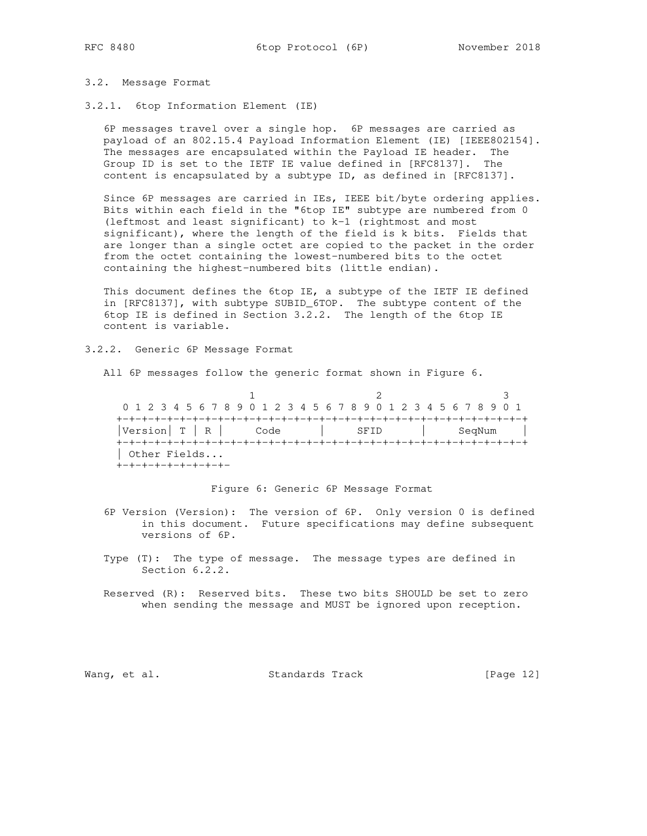# 3.2. Message Format

3.2.1. 6top Information Element (IE)

 6P messages travel over a single hop. 6P messages are carried as payload of an 802.15.4 Payload Information Element (IE) [IEEE802154]. The messages are encapsulated within the Payload IE header. The Group ID is set to the IETF IE value defined in [RFC8137]. The content is encapsulated by a subtype ID, as defined in [RFC8137].

 Since 6P messages are carried in IEs, IEEE bit/byte ordering applies. Bits within each field in the "6top IE" subtype are numbered from 0 (leftmost and least significant) to k-1 (rightmost and most significant), where the length of the field is k bits. Fields that are longer than a single octet are copied to the packet in the order from the octet containing the lowest-numbered bits to the octet containing the highest-numbered bits (little endian).

 This document defines the 6top IE, a subtype of the IETF IE defined in [RFC8137], with subtype SUBID\_6TOP. The subtype content of the 6top IE is defined in Section 3.2.2. The length of the 6top IE content is variable.

3.2.2. Generic 6P Message Format

All 6P messages follow the generic format shown in Figure 6.

1 2 3 0 1 2 3 4 5 6 7 8 9 0 1 2 3 4 5 6 7 8 9 0 1 2 3 4 5 6 7 8 9 0 1 +-+-+-+-+-+-+-+-+-+-+-+-+-+-+-+-+-+-+-+-+-+-+-+-+-+-+-+-+-+-+-+-+ |Version| T | R | Code | SFID | SeqNum | +-+-+-+-+-+-+-+-+-+-+-+-+-+-+-+-+-+-+-+-+-+-+-+-+-+-+-+-+-+-+-+-+ | Other Fields... +-+-+-+-+-+-+-+-+-

Figure 6: Generic 6P Message Format

- 6P Version (Version): The version of 6P. Only version 0 is defined in this document. Future specifications may define subsequent versions of 6P.
- Type (T): The type of message. The message types are defined in Section 6.2.2.
- Reserved (R): Reserved bits. These two bits SHOULD be set to zero when sending the message and MUST be ignored upon reception.

Wang, et al. Standards Track [Page 12]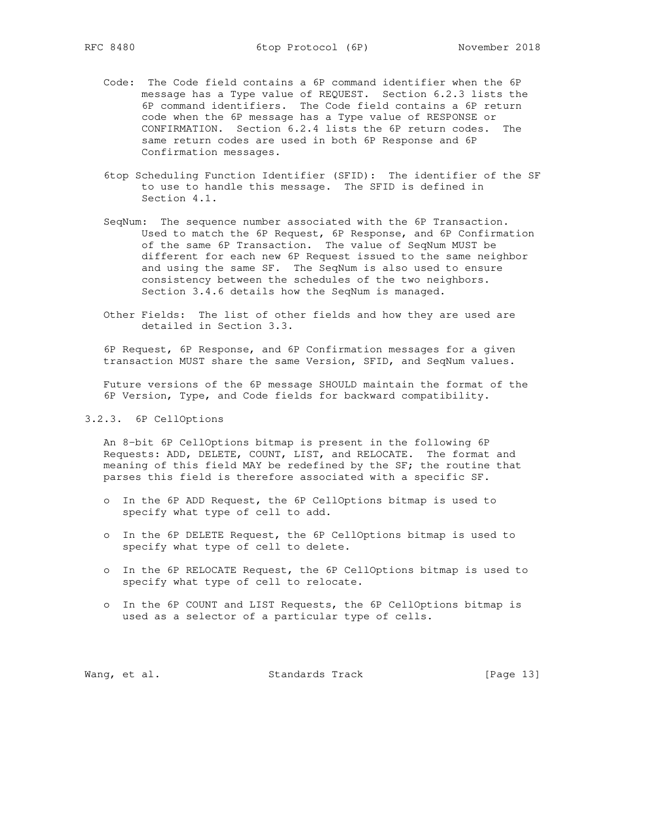- Code: The Code field contains a 6P command identifier when the 6P message has a Type value of REQUEST. Section 6.2.3 lists the 6P command identifiers. The Code field contains a 6P return code when the 6P message has a Type value of RESPONSE or CONFIRMATION. Section 6.2.4 lists the 6P return codes. The same return codes are used in both 6P Response and 6P Confirmation messages.
	- 6top Scheduling Function Identifier (SFID): The identifier of the SF to use to handle this message. The SFID is defined in Section 4.1.
	- SeqNum: The sequence number associated with the 6P Transaction. Used to match the 6P Request, 6P Response, and 6P Confirmation of the same 6P Transaction. The value of SeqNum MUST be different for each new 6P Request issued to the same neighbor and using the same SF. The SeqNum is also used to ensure consistency between the schedules of the two neighbors. Section 3.4.6 details how the SeqNum is managed.
	- Other Fields: The list of other fields and how they are used are detailed in Section 3.3.

 6P Request, 6P Response, and 6P Confirmation messages for a given transaction MUST share the same Version, SFID, and SeqNum values.

 Future versions of the 6P message SHOULD maintain the format of the 6P Version, Type, and Code fields for backward compatibility.

## 3.2.3. 6P CellOptions

 An 8-bit 6P CellOptions bitmap is present in the following 6P Requests: ADD, DELETE, COUNT, LIST, and RELOCATE. The format and meaning of this field MAY be redefined by the SF; the routine that parses this field is therefore associated with a specific SF.

- o In the 6P ADD Request, the 6P CellOptions bitmap is used to specify what type of cell to add.
- o In the 6P DELETE Request, the 6P CellOptions bitmap is used to specify what type of cell to delete.
- o In the 6P RELOCATE Request, the 6P CellOptions bitmap is used to specify what type of cell to relocate.
- o In the 6P COUNT and LIST Requests, the 6P CellOptions bitmap is used as a selector of a particular type of cells.

Wang, et al. Standards Track [Page 13]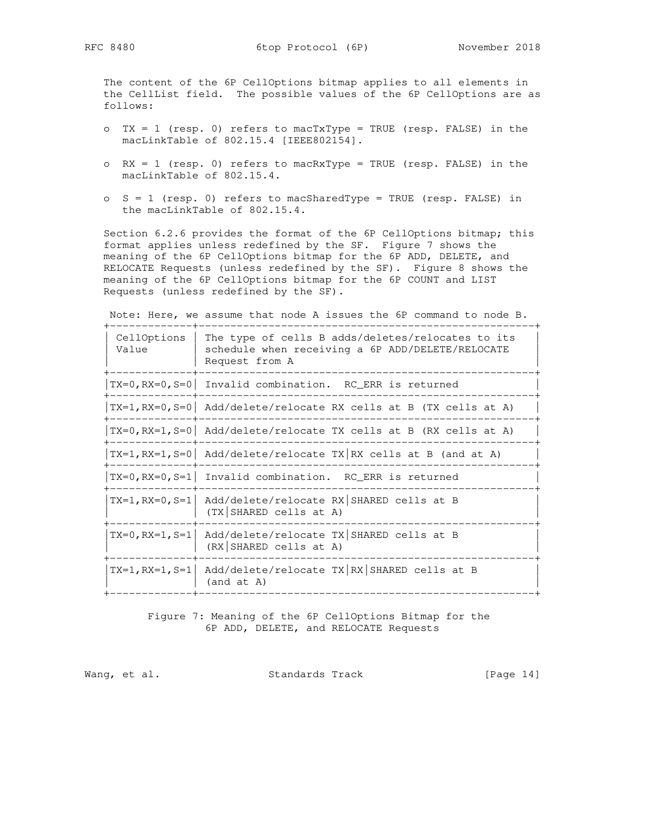The content of the 6P CellOptions bitmap applies to all elements in the CellList field. The possible values of the 6P CellOptions are as follows:

- o  $TX = 1$  (resp. 0) refers to macTxType = TRUE (resp. FALSE) in the macLinkTable of 802.15.4 [IEEE802154].
- o RX = 1 (resp. 0) refers to macRxType = TRUE (resp. FALSE) in the macLinkTable of 802.15.4.
- o S = 1 (resp. 0) refers to macSharedType = TRUE (resp. FALSE) in the macLinkTable of 802.15.4.

 Section 6.2.6 provides the format of the 6P CellOptions bitmap; this format applies unless redefined by the SF. Figure 7 shows the meaning of the 6P CellOptions bitmap for the 6P ADD, DELETE, and RELOCATE Requests (unless redefined by the SF). Figure 8 shows the meaning of the 6P CellOptions bitmap for the 6P COUNT and LIST Requests (unless redefined by the SF).

Note: Here, we assume that node A issues the 6P command to node B.

| CellOptions<br>Value | The type of cells B adds/deletes/relocates to its<br>schedule when receiving a 6P ADD/DELETE/RELOCATE<br>Request from A |
|----------------------|-------------------------------------------------------------------------------------------------------------------------|
|                      | $TX=0$ , $RX=0$ , $S=0$ Invalid combination. RC ERR is returned                                                         |
|                      | $TX=1, RX=0, S=0$ Add/delete/relocate RX cells at B (TX cells at A)                                                     |
|                      | $TX=0$ , RX=1, S=0   Add/delete/relocate TX cells at B (RX cells at A)                                                  |
|                      | $TX=1, RX=1, S=0$ Add/delete/relocate TX RX cells at B (and at A)                                                       |
|                      | $TX=0$ , $RX=0$ , $S=1$ Invalid combination. RC_ERR is returned                                                         |
|                      | $TX=1, RX=0, S=1$ Add/delete/relocate RX SHARED cells at B<br>(TX SHARED cells at A)                                    |
|                      | $TX=0$ , $RX=1$ , $S=1$ Add/delete/relocate TX SHARED cells at B<br>(RX SHARED cells at A)                              |
|                      | $TX=1, RX=1, S=1$ Add/delete/relocate $TX RX SHAREN$ cells at B<br>(and at A)                                           |

 Figure 7: Meaning of the 6P CellOptions Bitmap for the 6P ADD, DELETE, and RELOCATE Requests

Wang, et al. Standards Track [Page 14]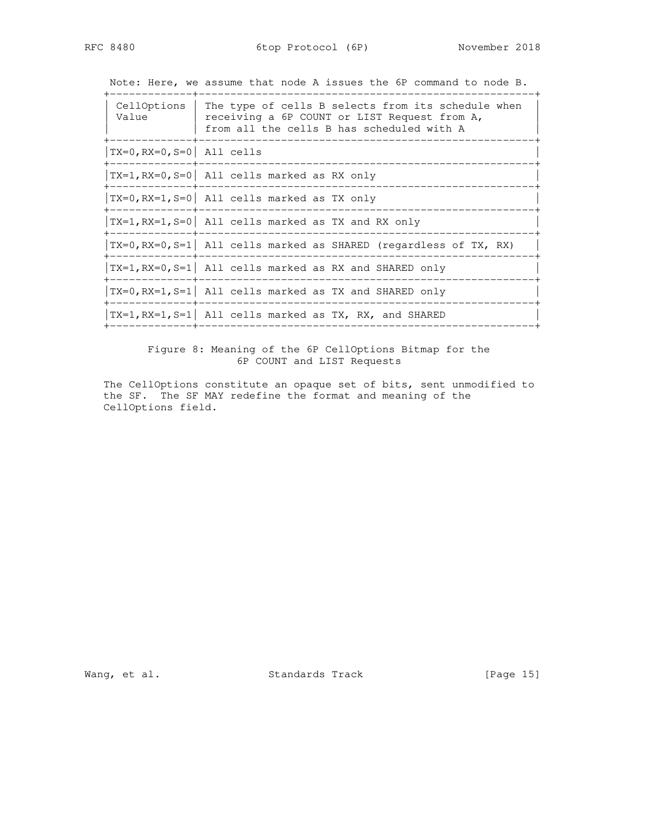Note: Here, we assume that node A issues the 6P command to node B.

 +-------------+-----------------------------------------------------+ | CellOptions | The type of cells B selects from its schedule when | | Value | receiving a 6P COUNT or LIST Request from A, | | from all the cells B has scheduled with A | | +-------------+-----------------------------------------------------+  $|TX=0$ ,  $RX=0$ ,  $S=0$  | All cells +-------------+-----------------------------------------------------+  $|TX=1$ , RX=0, S=0 All cells marked as RX only +-------------+-----------------------------------------------------+  $|TX=0, RX=1, S=0$  All cells marked as TX only +-------------+-----------------------------------------------------+  $|TX=1, RX=1, S=0$  All cells marked as TX and RX only +-------------+-----------------------------------------------------+  $|TX=0, RX=0, S=1$  all cells marked as SHARED (regardless of TX, RX)  $|$  +-------------+-----------------------------------------------------+  $|TX=1, RX=0, S=1$  All cells marked as RX and SHARED only +-------------+-----------------------------------------------------+  $|TX=0$ , RX=1, S=1 All cells marked as TX and SHARED only +-------------+-----------------------------------------------------+  $|TX=1, RX=1, S=1$  All cells marked as TX, RX, and SHARED +-------------+-----------------------------------------------------+

> Figure 8: Meaning of the 6P CellOptions Bitmap for the 6P COUNT and LIST Requests

 The CellOptions constitute an opaque set of bits, sent unmodified to the SF. The SF MAY redefine the format and meaning of the CellOptions field.

Wang, et al. Standards Track [Page 15]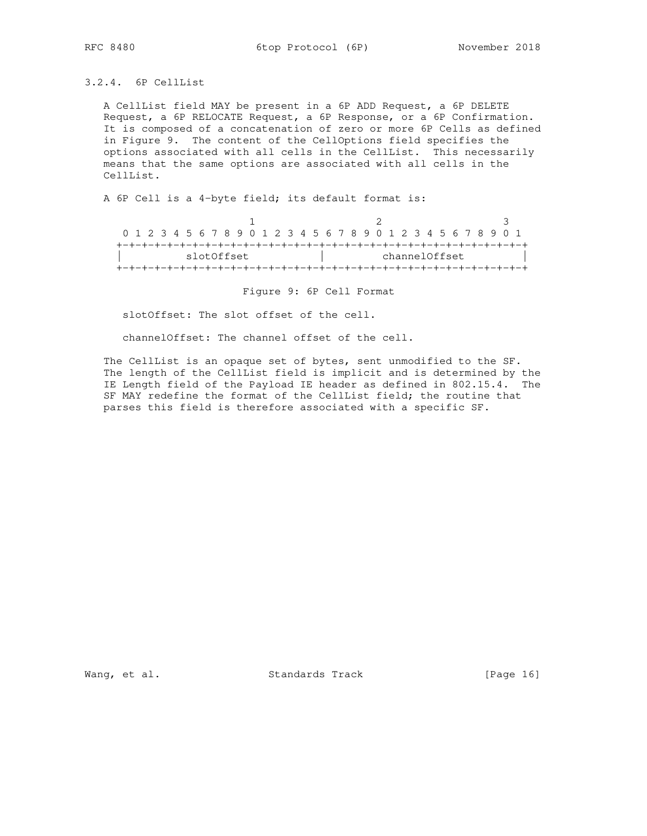3.2.4. 6P CellList

 A CellList field MAY be present in a 6P ADD Request, a 6P DELETE Request, a 6P RELOCATE Request, a 6P Response, or a 6P Confirmation. It is composed of a concatenation of zero or more 6P Cells as defined in Figure 9. The content of the CellOptions field specifies the options associated with all cells in the CellList. This necessarily means that the same options are associated with all cells in the CellList.

A 6P Cell is a 4-byte field; its default format is:

|            |  |  |  |  |  |  |  | 0 1 2 3 4 5 6 7 8 9 0 1 2 3 4 5 6 7 8 9 0 1 2 3 4 5 6 7 8 9 0 1 |  |  |  |  |  |  |  |  |  |  |  |  |  |  |  |  |
|------------|--|--|--|--|--|--|--|-----------------------------------------------------------------|--|--|--|--|--|--|--|--|--|--|--|--|--|--|--|--|
|            |  |  |  |  |  |  |  |                                                                 |  |  |  |  |  |  |  |  |  |  |  |  |  |  |  |  |
| slotOffset |  |  |  |  |  |  |  | channelOffset                                                   |  |  |  |  |  |  |  |  |  |  |  |  |  |  |  |  |
|            |  |  |  |  |  |  |  |                                                                 |  |  |  |  |  |  |  |  |  |  |  |  |  |  |  |  |

Figure 9: 6P Cell Format

slotOffset: The slot offset of the cell.

channelOffset: The channel offset of the cell.

 The CellList is an opaque set of bytes, sent unmodified to the SF. The length of the CellList field is implicit and is determined by the IE Length field of the Payload IE header as defined in 802.15.4. The SF MAY redefine the format of the CellList field; the routine that parses this field is therefore associated with a specific SF.

Wang, et al. Standards Track [Page 16]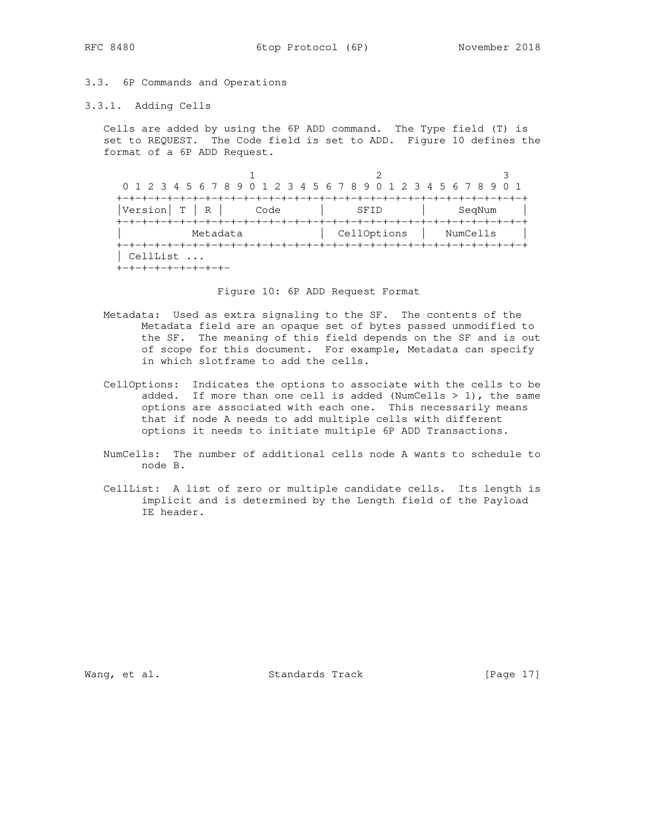## 3.3. 6P Commands and Operations

## 3.3.1. Adding Cells

 Cells are added by using the 6P ADD command. The Type field (T) is set to REQUEST. The Code field is set to ADD. Figure 10 defines the format of a 6P ADD Request.

1 2 3 0 1 2 3 4 5 6 7 8 9 0 1 2 3 4 5 6 7 8 9 0 1 2 3 4 5 6 7 8 9 0 1 +-+-+-+-+-+-+-+-+-+-+-+-+-+-+-+-+-+-+-+-+-+-+-+-+-+-+-+-+-+-+-+-+ |Version| T | R | Code | SFID | SeqNum | +-+-+-+-+-+-+-+-+-+-+-+-+-+-+-+-+-+-+-+-+-+-+-+-+-+-+-+-+-+-+-+-+ Metadata  $|$  CellOptions  $|$  NumCells  $|$  +-+-+-+-+-+-+-+-+-+-+-+-+-+-+-+-+-+-+-+-+-+-+-+-+-+-+-+-+-+-+-+-+ | CellList ... +-+-+-+-+-+-+-+-+-

Figure 10: 6P ADD Request Format

- Metadata: Used as extra signaling to the SF. The contents of the Metadata field are an opaque set of bytes passed unmodified to the SF. The meaning of this field depends on the SF and is out of scope for this document. For example, Metadata can specify in which slotframe to add the cells.
- CellOptions: Indicates the options to associate with the cells to be added. If more than one cell is added (NumCells > 1), the same options are associated with each one. This necessarily means that if node A needs to add multiple cells with different options it needs to initiate multiple 6P ADD Transactions.
	- NumCells: The number of additional cells node A wants to schedule to node B.
	- CellList: A list of zero or multiple candidate cells. Its length is implicit and is determined by the Length field of the Payload IE header.

Wang, et al. Standards Track [Page 17]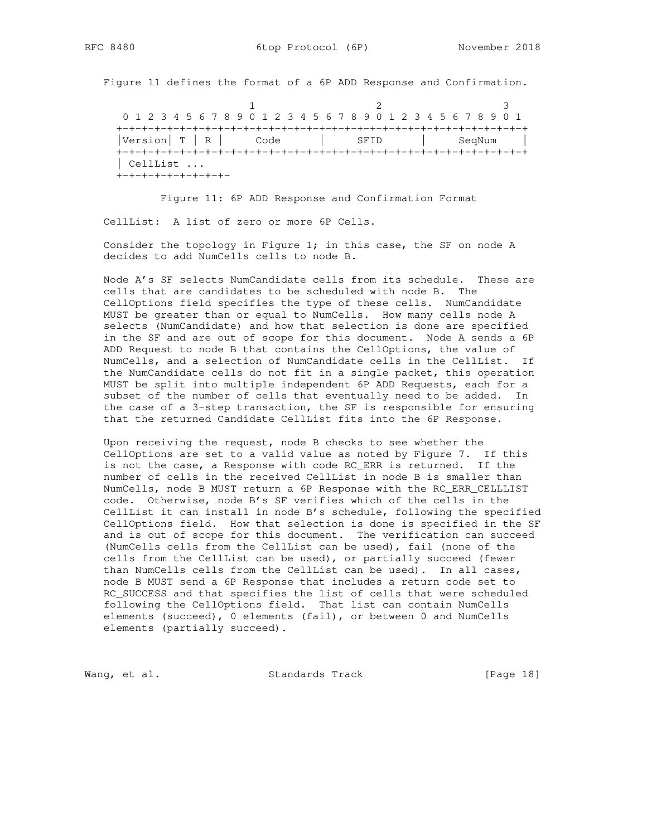Figure 11 defines the format of a 6P ADD Response and Confirmation.

1 2 3 0 1 2 3 4 5 6 7 8 9 0 1 2 3 4 5 6 7 8 9 0 1 2 3 4 5 6 7 8 9 0 1 +-+-+-+-+-+-+-+-+-+-+-+-+-+-+-+-+-+-+-+-+-+-+-+-+-+-+-+-+-+-+-+-+ |Version| T | R | Code | SFID | SeqNum | +-+-+-+-+-+-+-+-+-+-+-+-+-+-+-+-+-+-+-+-+-+-+-+-+-+-+-+-+-+-+-+-+ | CellList ... +-+-+-+-+-+-+-+-+-

 Figure 11: 6P ADD Response and Confirmation Format CellList: A list of zero or more 6P Cells.

 Consider the topology in Figure 1; in this case, the SF on node A decides to add NumCells cells to node B.

 Node A's SF selects NumCandidate cells from its schedule. These are cells that are candidates to be scheduled with node B. The CellOptions field specifies the type of these cells. NumCandidate MUST be greater than or equal to NumCells. How many cells node A selects (NumCandidate) and how that selection is done are specified in the SF and are out of scope for this document. Node A sends a 6P ADD Request to node B that contains the CellOptions, the value of NumCells, and a selection of NumCandidate cells in the CellList. If the NumCandidate cells do not fit in a single packet, this operation MUST be split into multiple independent 6P ADD Requests, each for a subset of the number of cells that eventually need to be added. In the case of a 3-step transaction, the SF is responsible for ensuring that the returned Candidate CellList fits into the 6P Response.

 Upon receiving the request, node B checks to see whether the CellOptions are set to a valid value as noted by Figure 7. If this is not the case, a Response with code RC\_ERR is returned. If the number of cells in the received CellList in node B is smaller than NumCells, node B MUST return a 6P Response with the RC\_ERR\_CELLLIST code. Otherwise, node B's SF verifies which of the cells in the CellList it can install in node B's schedule, following the specified CellOptions field. How that selection is done is specified in the SF and is out of scope for this document. The verification can succeed (NumCells cells from the CellList can be used), fail (none of the cells from the CellList can be used), or partially succeed (fewer than NumCells cells from the CellList can be used). In all cases, node B MUST send a 6P Response that includes a return code set to RC\_SUCCESS and that specifies the list of cells that were scheduled following the CellOptions field. That list can contain NumCells elements (succeed), 0 elements (fail), or between 0 and NumCells elements (partially succeed).

Wang, et al. Standards Track [Page 18]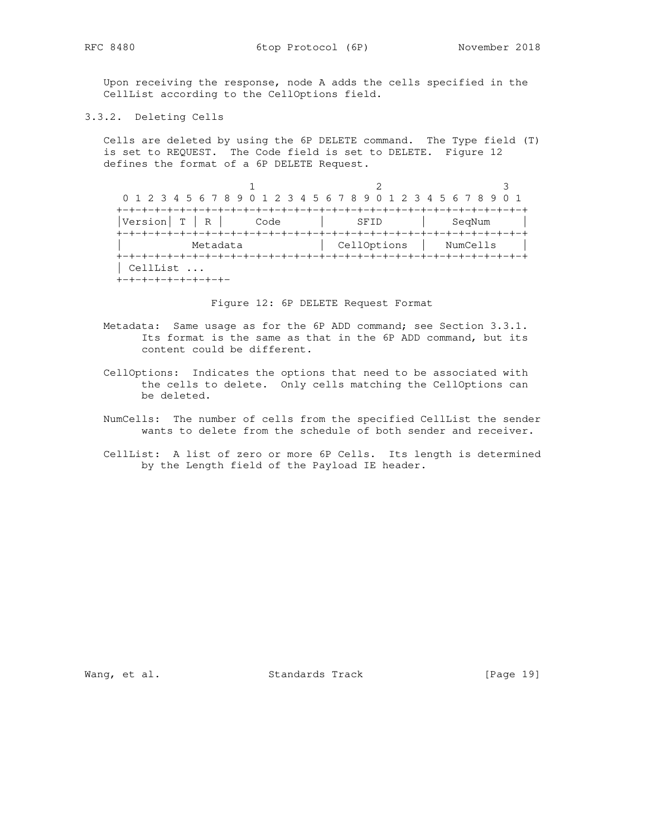Upon receiving the response, node A adds the cells specified in the CellList according to the CellOptions field.

3.3.2. Deleting Cells

 Cells are deleted by using the 6P DELETE command. The Type field (T) is set to REQUEST. The Code field is set to DELETE. Figure 12 defines the format of a 6P DELETE Request.

1 2 3 0 1 2 3 4 5 6 7 8 9 0 1 2 3 4 5 6 7 8 9 0 1 2 3 4 5 6 7 8 9 0 1 +-+-+-+-+-+-+-+-+-+-+-+-+-+-+-+-+-+-+-+-+-+-+-+-+-+-+-+-+-+-+-+-+ |Version| T | R | Code | SFID | SeqNum +-+-+-+-+-+-+-+-+-+-+-+-+-+-+-+-+-+-+-+-+-+-+-+-+-+-+-+-+-+-+-+-+ Metadata | CellOptions | NumCells | +-+-+-+-+-+-+-+-+-+-+-+-+-+-+-+-+-+-+-+-+-+-+-+-+-+-+-+-+-+-+-+-+ | CellList ... +-+-+-+-+-+-+-+-+-

Figure 12: 6P DELETE Request Format

- Metadata: Same usage as for the 6P ADD command; see Section 3.3.1. Its format is the same as that in the 6P ADD command, but its content could be different.
- CellOptions: Indicates the options that need to be associated with the cells to delete. Only cells matching the CellOptions can be deleted.
- NumCells: The number of cells from the specified CellList the sender wants to delete from the schedule of both sender and receiver.
- CellList: A list of zero or more 6P Cells. Its length is determined by the Length field of the Payload IE header.

Wang, et al. Standards Track [Page 19]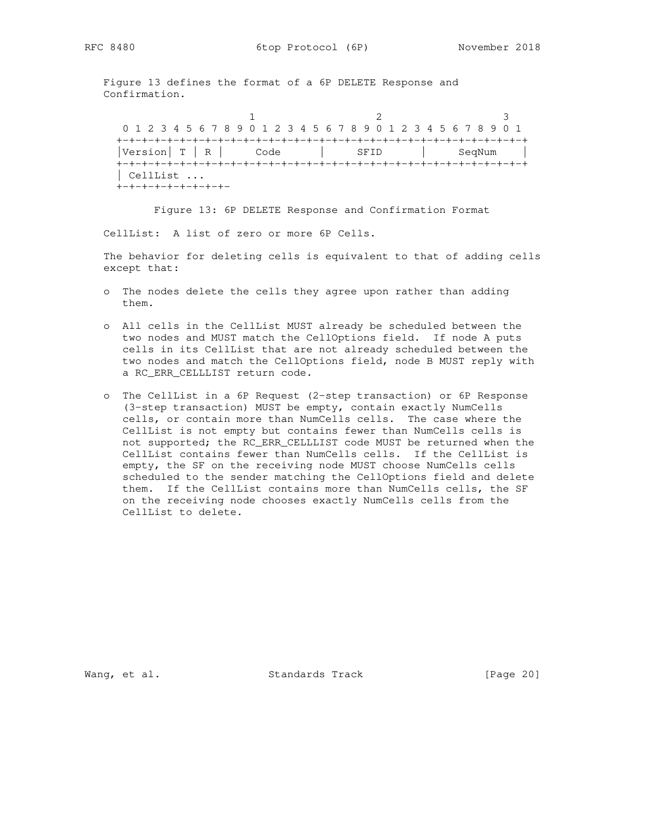Figure 13 defines the format of a 6P DELETE Response and Confirmation.

1 2 3 0 1 2 3 4 5 6 7 8 9 0 1 2 3 4 5 6 7 8 9 0 1 2 3 4 5 6 7 8 9 0 1 +-+-+-+-+-+-+-+-+-+-+-+-+-+-+-+-+-+-+-+-+-+-+-+-+-+-+-+-+-+-+-+-+ |Version| T | R | Code | SFID | SeqNum | +-+-+-+-+-+-+-+-+-+-+-+-+-+-+-+-+-+-+-+-+-+-+-+-+-+-+-+-+-+-+-+-+ | CellList ... +-+-+-+-+-+-+-+-+-

Figure 13: 6P DELETE Response and Confirmation Format

CellList: A list of zero or more 6P Cells.

 The behavior for deleting cells is equivalent to that of adding cells except that:

- o The nodes delete the cells they agree upon rather than adding them.
- o All cells in the CellList MUST already be scheduled between the two nodes and MUST match the CellOptions field. If node A puts cells in its CellList that are not already scheduled between the two nodes and match the CellOptions field, node B MUST reply with a RC\_ERR\_CELLLIST return code.
- o The CellList in a 6P Request (2-step transaction) or 6P Response (3-step transaction) MUST be empty, contain exactly NumCells cells, or contain more than NumCells cells. The case where the CellList is not empty but contains fewer than NumCells cells is not supported; the RC\_ERR\_CELLLIST code MUST be returned when the CellList contains fewer than NumCells cells. If the CellList is empty, the SF on the receiving node MUST choose NumCells cells scheduled to the sender matching the CellOptions field and delete them. If the CellList contains more than NumCells cells, the SF on the receiving node chooses exactly NumCells cells from the CellList to delete.

Wang, et al. Standards Track [Page 20]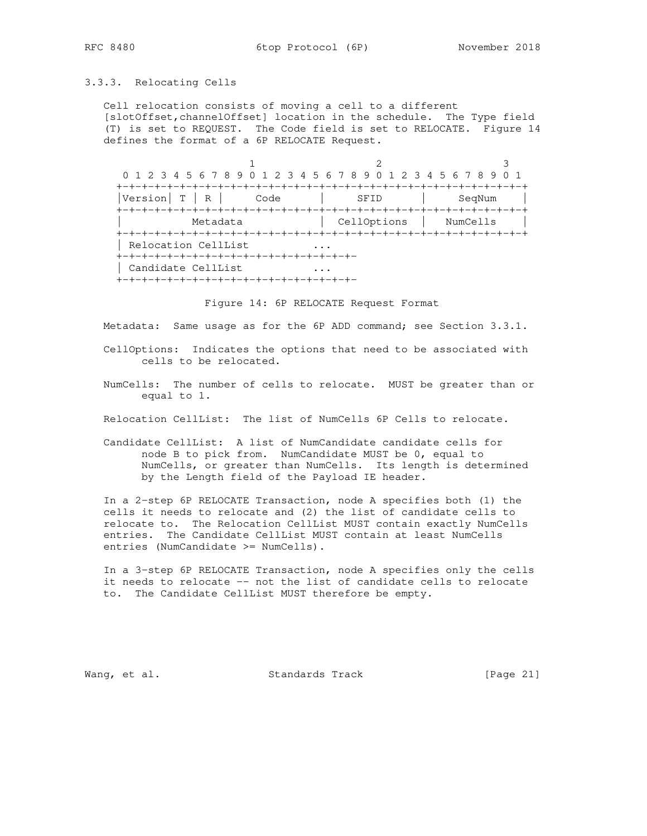### 3.3.3. Relocating Cells

 Cell relocation consists of moving a cell to a different [slotOffset,channelOffset] location in the schedule. The Type field (T) is set to REQUEST. The Code field is set to RELOCATE. Figure 14 defines the format of a 6P RELOCATE Request.

1 2 3 0 1 2 3 4 5 6 7 8 9 0 1 2 3 4 5 6 7 8 9 0 1 2 3 4 5 6 7 8 9 0 1 +-+-+-+-+-+-+-+-+-+-+-+-+-+-+-+-+-+-+-+-+-+-+-+-+-+-+-+-+-+-+-+-+ |Version| T | R | Code | SFID | SeqNum | +-+-+-+-+-+-+-+-+-+-+-+-+-+-+-+-+-+-+-+-+-+-+-+-+-+-+-+-+-+-+-+-+ Metadata | CellOptions | NumCells | +-+-+-+-+-+-+-+-+-+-+-+-+-+-+-+-+-+-+-+-+-+-+-+-+-+-+-+-+-+-+-+-+ | Relocation CellList ... +-+-+-+-+-+-+-+-+-+-+-+-+-+-+-+-+-+-+- | Candidate CellList ... +-+-+-+-+-+-+-+-+-+-+-+-+-+-+-+-+-+-+-

Figure 14: 6P RELOCATE Request Format

Metadata: Same usage as for the 6P ADD command; see Section 3.3.1.

 CellOptions: Indicates the options that need to be associated with cells to be relocated.

 NumCells: The number of cells to relocate. MUST be greater than or equal to 1.

Relocation CellList: The list of NumCells 6P Cells to relocate.

 Candidate CellList: A list of NumCandidate candidate cells for node B to pick from. NumCandidate MUST be 0, equal to NumCells, or greater than NumCells. Its length is determined by the Length field of the Payload IE header.

 In a 2-step 6P RELOCATE Transaction, node A specifies both (1) the cells it needs to relocate and (2) the list of candidate cells to relocate to. The Relocation CellList MUST contain exactly NumCells entries. The Candidate CellList MUST contain at least NumCells entries (NumCandidate >= NumCells).

 In a 3-step 6P RELOCATE Transaction, node A specifies only the cells it needs to relocate -- not the list of candidate cells to relocate to. The Candidate CellList MUST therefore be empty.

Wang, et al. Standards Track [Page 21]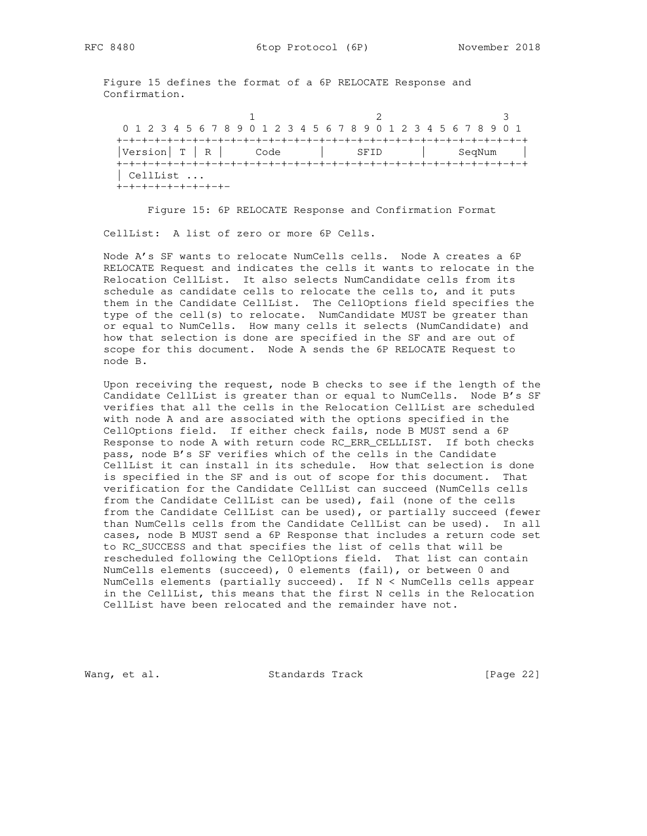Figure 15 defines the format of a 6P RELOCATE Response and Confirmation.

1 2 3 0 1 2 3 4 5 6 7 8 9 0 1 2 3 4 5 6 7 8 9 0 1 2 3 4 5 6 7 8 9 0 1 +-+-+-+-+-+-+-+-+-+-+-+-+-+-+-+-+-+-+-+-+-+-+-+-+-+-+-+-+-+-+-+-+ |Version| T | R | Code | SFID | SeqNum | +-+-+-+-+-+-+-+-+-+-+-+-+-+-+-+-+-+-+-+-+-+-+-+-+-+-+-+-+-+-+-+-+ | CellList ... +-+-+-+-+-+-+-+-+-

Figure 15: 6P RELOCATE Response and Confirmation Format

CellList: A list of zero or more 6P Cells.

 Node A's SF wants to relocate NumCells cells. Node A creates a 6P RELOCATE Request and indicates the cells it wants to relocate in the Relocation CellList. It also selects NumCandidate cells from its schedule as candidate cells to relocate the cells to, and it puts them in the Candidate CellList. The CellOptions field specifies the type of the cell(s) to relocate. NumCandidate MUST be greater than or equal to NumCells. How many cells it selects (NumCandidate) and how that selection is done are specified in the SF and are out of scope for this document. Node A sends the 6P RELOCATE Request to node B.

 Upon receiving the request, node B checks to see if the length of the Candidate CellList is greater than or equal to NumCells. Node B's SF verifies that all the cells in the Relocation CellList are scheduled with node A and are associated with the options specified in the CellOptions field. If either check fails, node B MUST send a 6P Response to node A with return code RC\_ERR\_CELLLIST. If both checks pass, node B's SF verifies which of the cells in the Candidate CellList it can install in its schedule. How that selection is done is specified in the SF and is out of scope for this document. That verification for the Candidate CellList can succeed (NumCells cells from the Candidate CellList can be used), fail (none of the cells from the Candidate CellList can be used), or partially succeed (fewer than NumCells cells from the Candidate CellList can be used). In all cases, node B MUST send a 6P Response that includes a return code set to RC\_SUCCESS and that specifies the list of cells that will be rescheduled following the CellOptions field. That list can contain NumCells elements (succeed), 0 elements (fail), or between 0 and NumCells elements (partially succeed). If N < NumCells cells appear in the CellList, this means that the first N cells in the Relocation CellList have been relocated and the remainder have not.

Wang, et al. Standards Track [Page 22]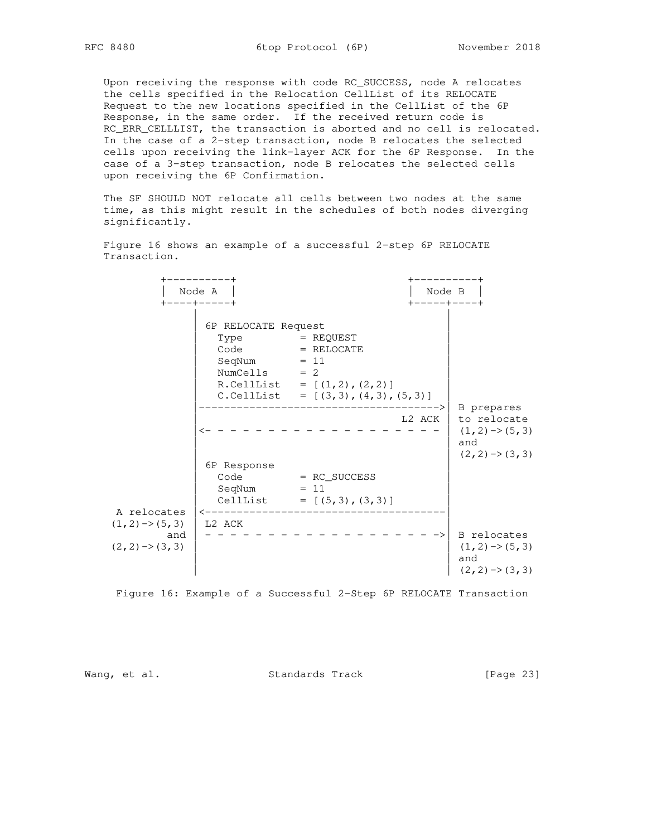Upon receiving the response with code RC\_SUCCESS, node A relocates the cells specified in the Relocation CellList of its RELOCATE Request to the new locations specified in the CellList of the 6P Response, in the same order. If the received return code is RC\_ERR\_CELLLIST, the transaction is aborted and no cell is relocated. In the case of a 2-step transaction, node B relocates the selected cells upon receiving the link-layer ACK for the 6P Response. In the case of a 3-step transaction, node B relocates the selected cells upon receiving the 6P Confirmation.

 The SF SHOULD NOT relocate all cells between two nodes at the same time, as this might result in the schedules of both nodes diverging significantly.

 +----------+ +----------+ | Node B |<br>+-----+----+ +----+-----+ +-----+----+ | | 6P RELOCATE Request  $\begin{array}{|l|} \hline \text{Type} & = \text{REQUEST} \end{array}$  $\begin{array}{|c|c|c|c|c|}\hline \text{Code} & = & \text{RELOCATE} \end{array}$  $\text{SeqNum}$  = 11  $\text{EqNum}$  $\text{NumCells}$  = 2  $R.CellList = [(1,2), (2,2)]$  $C. CellList = [(3,3), (4,3), (5,3)]$  |-------------------------------------->| B prepares L2 ACK | to relocate |<- - - - - - - - - - - - - - - - - - - | (1,2)->(5,3) | and | and | and | and | and | and | and | and | and | and | and | and | and | and | and | and | and | and | and | and | and | and | and | and | and | and | and | and | and | and | and | and | and | and | and | and | and  $(2,2)\rightarrow(3,3)$  | 6P Response | | Code = RC\_SUCCESS |  $\text{SeqNum}$  = 11  $\mid$  $[CellList] = [(5,3), (3,3)]$  A relocates |<--------------------------------------|  $(1,2) \rightarrow (5,3)$  | L2 ACK and | - - - - - - - - - - - - - - - - - - ->| B relocates  $(2,2) \rightarrow (3,3)$  |  $(1,2) \rightarrow (5,3)$  | | and  $(2,2)\rightarrow(3,3)$ 

 Figure 16 shows an example of a successful 2-step 6P RELOCATE Transaction.

Figure 16: Example of a Successful 2-Step 6P RELOCATE Transaction

Wang, et al. Standards Track [Page 23]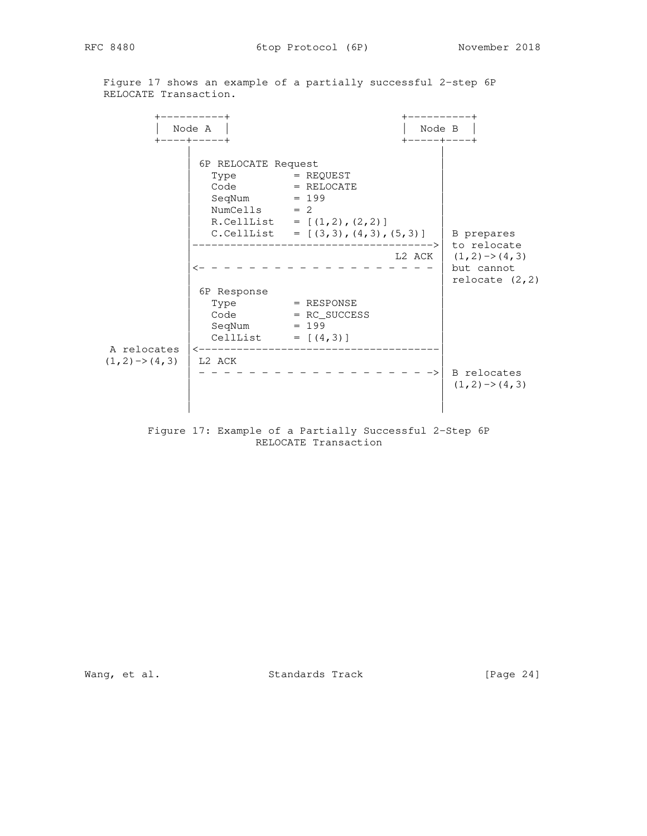Figure 17 shows an example of a partially successful 2-step 6P RELOCATE Transaction.

 +----------+ +----------+  $|$  Node A  $|$  +----+-----+ +-----+----+ | | | 6P RELOCATE Request |  $\begin{array}{|l|} \hline \text{Type} & = \text{REQUEST} \end{array}$  $\begin{array}{|l|} \hline \texttt{Code} & = \texttt{RELOCALE} \end{array}$  $\log_{10}$  SeqNum  $= 199$  $\lvert$  NumCells = 2  $\lvert$  $R.CellList = [(1,2), (2,2)]$  $[ C.CellList = [(3,3), (4,3), (5,3) ]$  B prepares |-------------------------------------->| to relocate  $\angle$  L2 ACK  $(1,2)$  ->(4,3)  $|$  <- - - - - - - - - - - - - - - - - - | but cannot  $\vert$  relocate (2,2) | 6P Response |  $\begin{array}{|l|} \hline \text{Type} & = \text{RESPONSE} \end{array}$  | Code = RC\_SUCCESS |  $\log_{10}$  SeqNum  $= 199$  $\begin{bmatrix} \text{CellList} & = \left[ (4,3) \right] \end{bmatrix}$  A relocates |<--------------------------------------|  $(1,2) \rightarrow (4,3)$  | L2 ACK | - - - - - - - - - - - - - - - - - - ->| B relocates  $(1,2)\rightarrow(4,3)$  | | | | Figure 17: Example of a Partially Successful 2-Step 6P

RELOCATE Transaction

Wang, et al. Standards Track [Page 24]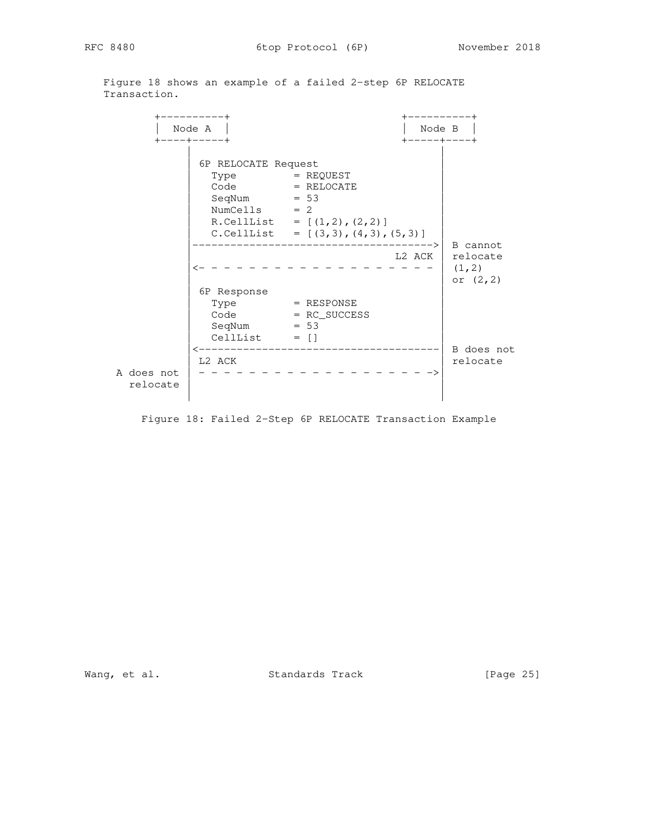Figure 18 shows an example of a failed 2-step 6P RELOCATE Transaction.

 +----------+ +----------+ | Node A | | Node B | +----+-----+ +-----+----+ | | | 6P RELOCATE Request |  $\begin{array}{|l|} \hline \text{Type} & = \text{REQUEST} \end{array}$  $\begin{array}{|c|c|c|c|c|}\n\hline\n\text{Code} & = & \text{RELOCATE} \end{array}$  $\log_{10}$  SeqNum  $= 53$  $\lvert$  NumCells = 2  $\lvert$  $R.CellList = [(1,2), (2,2)]$  $[ C.CellList = [(3,3), (4,3), (5,3) ]$  |-------------------------------------->| B cannot | L2 ACK | relocate  $|\langle - - - - - - - - - - - - - - - - - - - - | (1,2)$  $\sigma$  (2,2) | 6P Response |  $\begin{array}{|l|} \hline \text{Type} & = \text{RESPONSE} \end{array}$  | Code = RC\_SUCCESS |  $\log_{10}$  SeqNum  $= 53$  $\begin{bmatrix} \text{CellList} & = \begin{bmatrix} \end{bmatrix} \end{bmatrix}$  |<--------------------------------------| B does not  $\vert$  L2 ACK A does not | - - - - - - - - - - - - - - - - - - ->| relocate | |

Figure 18: Failed 2-Step 6P RELOCATE Transaction Example

Wang, et al. Standards Track [Page 25]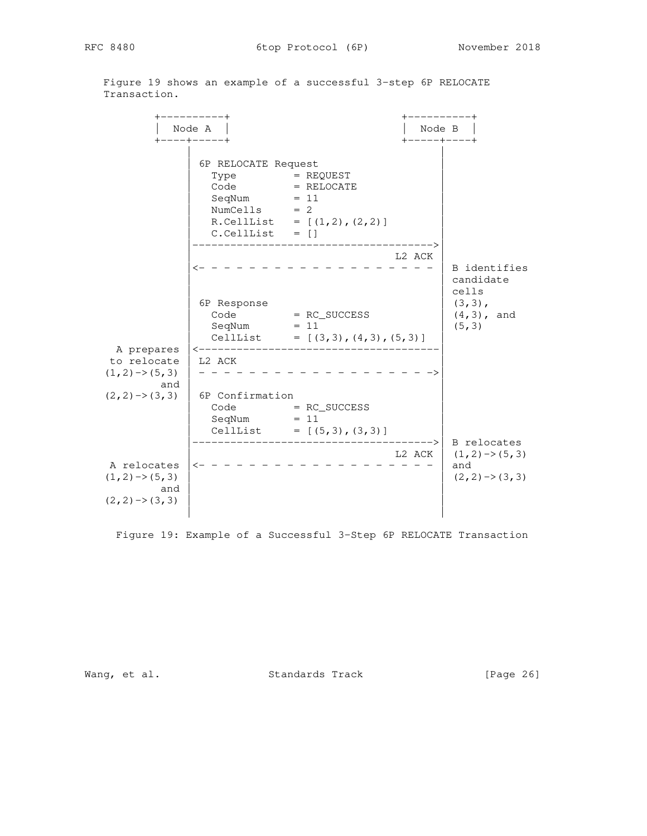Figure 19 shows an example of a successful 3-step 6P RELOCATE Transaction.

 +----------+ +----------+ | Node A | | Node B | +----+-----+ +-----+----+ | | | 6P RELOCATE Request |  $\begin{array}{|l|} \hline \text{Type} & = \text{REQUEST} \end{array}$  $\begin{array}{|l|} \hline \texttt{Code} & = \texttt{RELOCALE} \end{array}$  $\log_{10}$   $\log_{10}$  = 11  $\log_{10}$   $\log_{10}$   $\log_{10}$   $\log_{10}$   $\log_{10}$   $\log_{10}$   $\log_{10}$   $\log_{10}$   $\log_{10}$   $\log_{10}$   $\log_{10}$   $\log_{10}$   $\log_{10}$   $\log_{10}$   $\log_{10}$   $\log_{10}$   $\log_{10}$   $\log_{10}$   $\log_{10}$   $\log_{10}$   $\log_{10}$   $\log_{10}$   $\lvert$  NumCells = 2  $\lvert$  $R. CellList = [(1,2), (2,2)]$  $C.CellList = []$  |-------------------------------------->| L2 ACK  $\leftarrow$  - - - - - - - - - - - - - - - - | B identifies | candidate<br>| cells | | cells  $\begin{bmatrix} 6P & Response \\ 1 & 3 \end{bmatrix}$  (3,3),  $\begin{array}{|l|c|c|c|c|}\n\hline\n\text{Code} & = \text{RC\_SUCESS} & \hspace{1cm} | & (4,3) \text{, and} \end{array}$  $\log_{10} = 11$  (5,3)  $\begin{bmatrix} \text{CellList} & = \left[ (3,3), (4,3), (5,3) \right] \end{bmatrix}$  A prepares |<--------------------------------------| to relocate | L2 ACK  $(1,2) \rightarrow (5,3)$  | - - - - - - (1,2)->(5,3) | - - - - - - - - - - - - - - - - - - ->| and  $|$  $(2, 2)$  ->(3,3) | 6P Confirmation  $\bigcap$  Code  $= RC\_SUCCES$  $\text{SeqNum}$  = 11  $\text{EqNum}$  $\begin{bmatrix} \text{CellList} & = [(5,3), (3,3)] \end{bmatrix}$  |-------------------------------------->| B relocates L2 ACK  $(1,2) \rightarrow (5,3)$  A relocates |<- - - - - - - - - - - - - - - - - - - | and  $(1,2) \rightarrow (5,3)$  |  $(2,2) \rightarrow (3,3)$ and  $|$  $(2, 2) \rightarrow (3, 3)$ | |

Figure 19: Example of a Successful 3-Step 6P RELOCATE Transaction

Wang, et al. Standards Track [Page 26]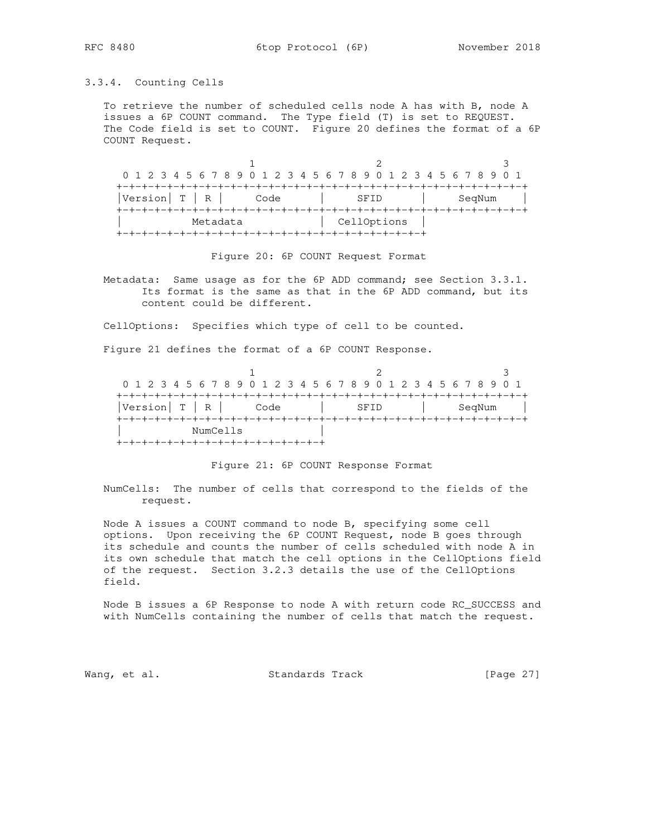# 3.3.4. Counting Cells

 To retrieve the number of scheduled cells node A has with B, node A issues a 6P COUNT command. The Type field (T) is set to REQUEST. The Code field is set to COUNT. Figure 20 defines the format of a 6P COUNT Request.

 $1$  2 3 0 1 2 3 4 5 6 7 8 9 0 1 2 3 4 5 6 7 8 9 0 1 2 3 4 5 6 7 8 9 0 1 +-+-+-+-+-+-+-+-+-+-+-+-+-+-+-+-+-+-+-+-+-+-+-+-+-+-+-+-+-+-+-+-+ |Version| T | R | Code | SFID | SeqNum | +-+-+-+-+-+-+-+-+-+-+-+-+-+-+-+-+-+-+-+-+-+-+-+-+-+-+-+-+-+-+-+-+ Metadata | CellOptions | +-+-+-+-+-+-+-+-+-+-+-+-+-+-+-+-+-+-+-+-+-+-+-+-+

Figure 20: 6P COUNT Request Format

 Metadata: Same usage as for the 6P ADD command; see Section 3.3.1. Its format is the same as that in the 6P ADD command, but its content could be different.

CellOptions: Specifies which type of cell to be counted.

Figure 21 defines the format of a 6P COUNT Response.

| 0 1 2 3 4 5 6 7 8 9 0 1 2 3 4 5 6 7 8 9 0 1 2 3 4 5 6 7 8 9 0 1 |      |      |        |  |  |  |  |
|-----------------------------------------------------------------|------|------|--------|--|--|--|--|
|                                                                 |      |      |        |  |  |  |  |
| $ Version $ T $ $ R                                             | Code | SEID | SegNum |  |  |  |  |
|                                                                 |      |      |        |  |  |  |  |
| NumCells                                                        |      |      |        |  |  |  |  |
|                                                                 |      |      |        |  |  |  |  |

## Figure 21: 6P COUNT Response Format

 NumCells: The number of cells that correspond to the fields of the request.

 Node A issues a COUNT command to node B, specifying some cell options. Upon receiving the 6P COUNT Request, node B goes through its schedule and counts the number of cells scheduled with node A in its own schedule that match the cell options in the CellOptions field of the request. Section 3.2.3 details the use of the CellOptions field.

 Node B issues a 6P Response to node A with return code RC\_SUCCESS and with NumCells containing the number of cells that match the request.

Wang, et al. Standards Track [Page 27]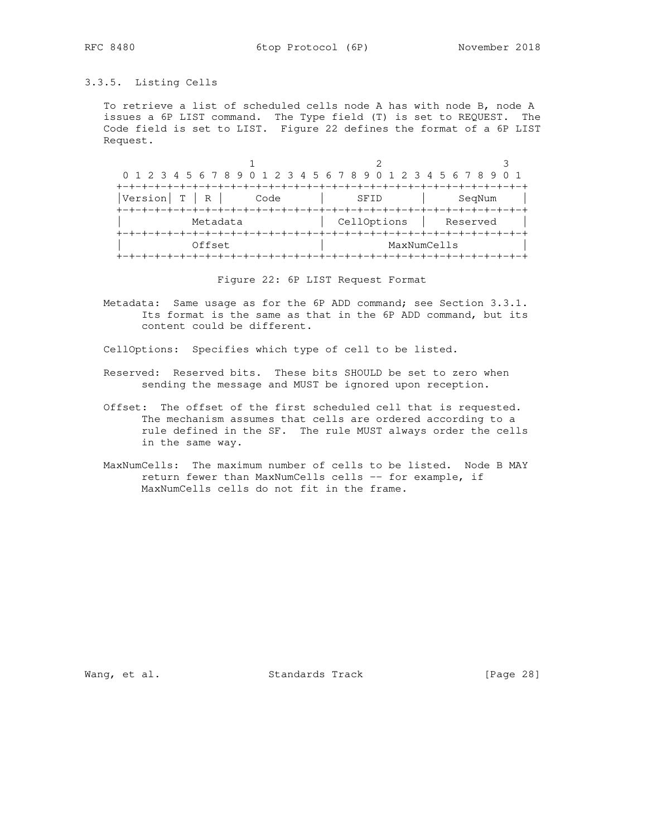# 3.3.5. Listing Cells

 To retrieve a list of scheduled cells node A has with node B, node A issues a 6P LIST command. The Type field (T) is set to REQUEST. The Code field is set to LIST. Figure 22 defines the format of a 6P LIST Request.

1 2 3 0 1 2 3 4 5 6 7 8 9 0 1 2 3 4 5 6 7 8 9 0 1 2 3 4 5 6 7 8 9 0 1 +-+-+-+-+-+-+-+-+-+-+-+-+-+-+-+-+-+-+-+-+-+-+-+-+-+-+-+-+-+-+-+-+ |Version| T | R | Code | SFID | SeqNum | +-+-+-+-+-+-+-+-+-+-+-+-+-+-+-+-+-+-+-+-+-+-+-+-+-+-+-+-+-+-+-+-+ Metadata  $|$  CellOptions  $|$  Reserved  $|$  +-+-+-+-+-+-+-+-+-+-+-+-+-+-+-+-+-+-+-+-+-+-+-+-+-+-+-+-+-+-+-+-+ | Offset | MaxNumCells | +-+-+-+-+-+-+-+-+-+-+-+-+-+-+-+-+-+-+-+-+-+-+-+-+-+-+-+-+-+-+-+-+

Figure 22: 6P LIST Request Format

 Metadata: Same usage as for the 6P ADD command; see Section 3.3.1. Its format is the same as that in the 6P ADD command, but its content could be different.

CellOptions: Specifies which type of cell to be listed.

- Reserved: Reserved bits. These bits SHOULD be set to zero when sending the message and MUST be ignored upon reception.
- Offset: The offset of the first scheduled cell that is requested. The mechanism assumes that cells are ordered according to a rule defined in the SF. The rule MUST always order the cells in the same way.
- MaxNumCells: The maximum number of cells to be listed. Node B MAY return fewer than MaxNumCells cells -- for example, if MaxNumCells cells do not fit in the frame.

Wang, et al. Standards Track [Page 28]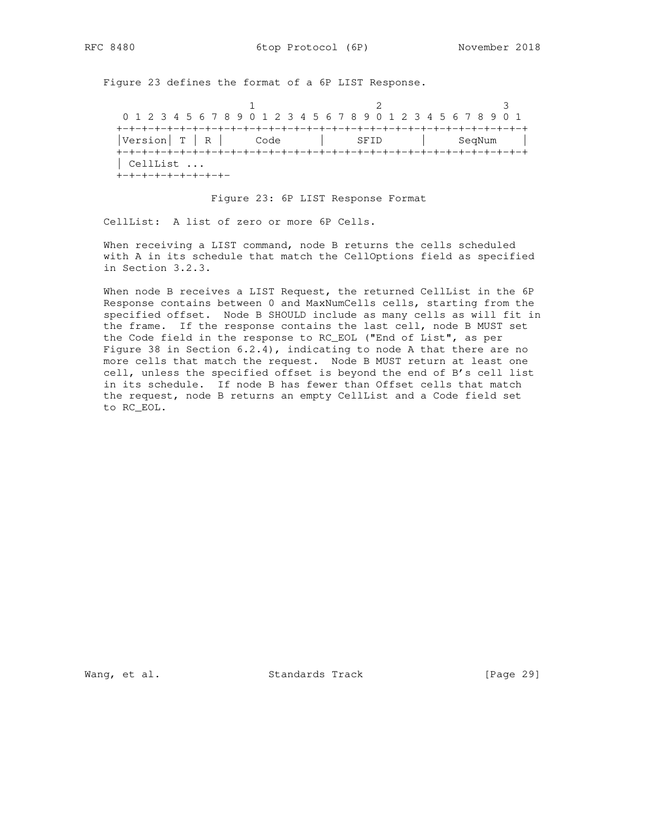Figure 23 defines the format of a 6P LIST Response.

1 2 3 0 1 2 3 4 5 6 7 8 9 0 1 2 3 4 5 6 7 8 9 0 1 2 3 4 5 6 7 8 9 0 1 +-+-+-+-+-+-+-+-+-+-+-+-+-+-+-+-+-+-+-+-+-+-+-+-+-+-+-+-+-+-+-+-+ |Version| T | R | Code | SFID | SeqNum | +-+-+-+-+-+-+-+-+-+-+-+-+-+-+-+-+-+-+-+-+-+-+-+-+-+-+-+-+-+-+-+-+ | CellList ... +-+-+-+-+-+-+-+-+-

### Figure 23: 6P LIST Response Format

CellList: A list of zero or more 6P Cells.

 When receiving a LIST command, node B returns the cells scheduled with A in its schedule that match the CellOptions field as specified in Section 3.2.3.

 When node B receives a LIST Request, the returned CellList in the 6P Response contains between 0 and MaxNumCells cells, starting from the specified offset. Node B SHOULD include as many cells as will fit in the frame. If the response contains the last cell, node B MUST set the Code field in the response to RC\_EOL ("End of List", as per Figure 38 in Section  $6.2.4$ ), indicating to node A that there are no more cells that match the request. Node B MUST return at least one cell, unless the specified offset is beyond the end of B's cell list in its schedule. If node B has fewer than Offset cells that match the request, node B returns an empty CellList and a Code field set to RC\_EOL.

Wang, et al. Standards Track [Page 29]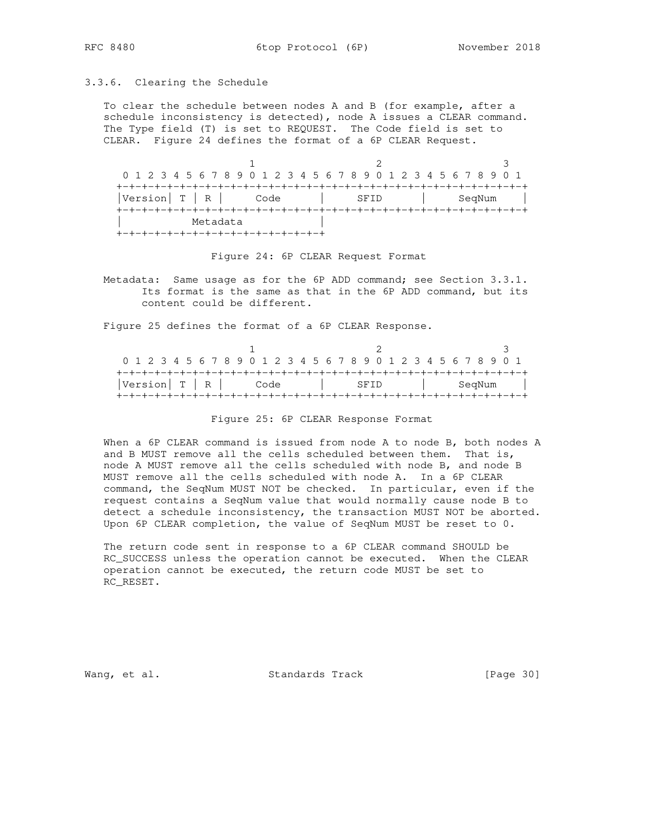### 3.3.6. Clearing the Schedule

 To clear the schedule between nodes A and B (for example, after a schedule inconsistency is detected), node A issues a CLEAR command. The Type field (T) is set to REQUEST. The Code field is set to CLEAR. Figure 24 defines the format of a 6P CLEAR Request.

1 2 3 0 1 2 3 4 5 6 7 8 9 0 1 2 3 4 5 6 7 8 9 0 1 2 3 4 5 6 7 8 9 0 1 +-+-+-+-+-+-+-+-+-+-+-+-+-+-+-+-+-+-+-+-+-+-+-+-+-+-+-+-+-+-+-+-+ |Version| T | R | Code | SFID | SeqNum | +-+-+-+-+-+-+-+-+-+-+-+-+-+-+-+-+-+-+-+-+-+-+-+-+-+-+-+-+-+-+-+-+ Metadata +-+-+-+-+-+-+-+-+-+-+-+-+-+-+-+-+

Figure 24: 6P CLEAR Request Format

 Metadata: Same usage as for the 6P ADD command; see Section 3.3.1. Its format is the same as that in the 6P ADD command, but its content could be different.

Figure 25 defines the format of a 6P CLEAR Response.

|                           | 0 1 2 3 4 5 6 7 8 9 0 1 2 3 4 5 6 7 8 9 0 1 2 3 4 5 6 7 8 9 0 1 |        |
|---------------------------|-----------------------------------------------------------------|--------|
| $ Version   T   R  $ Code | SFID                                                            | SeqNum |
|                           |                                                                 |        |

Figure 25: 6P CLEAR Response Format

 When a 6P CLEAR command is issued from node A to node B, both nodes A and B MUST remove all the cells scheduled between them. That is, node A MUST remove all the cells scheduled with node B, and node B MUST remove all the cells scheduled with node A. In a 6P CLEAR command, the SeqNum MUST NOT be checked. In particular, even if the request contains a SeqNum value that would normally cause node B to detect a schedule inconsistency, the transaction MUST NOT be aborted. Upon 6P CLEAR completion, the value of SeqNum MUST be reset to 0.

 The return code sent in response to a 6P CLEAR command SHOULD be RC\_SUCCESS unless the operation cannot be executed. When the CLEAR operation cannot be executed, the return code MUST be set to RC\_RESET.

Wang, et al. Standards Track [Page 30]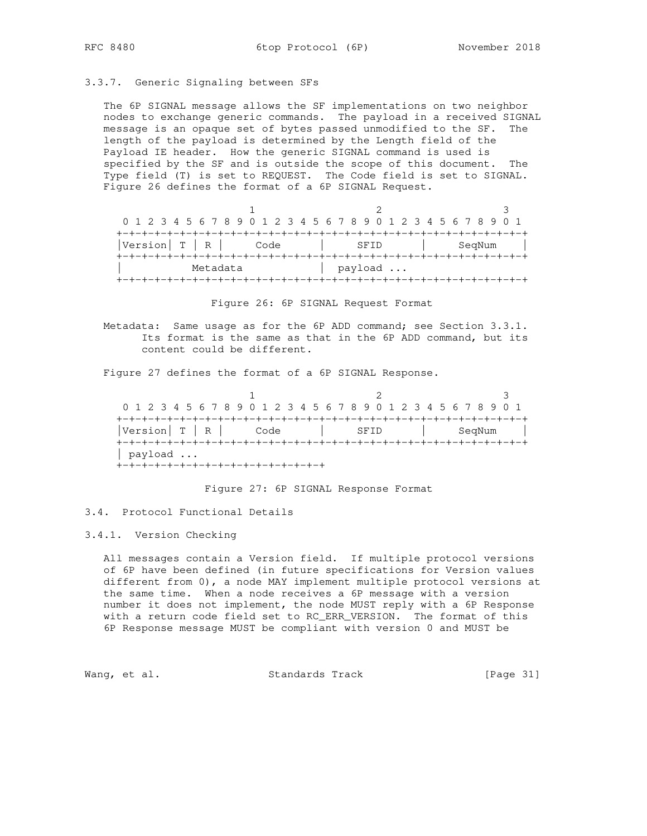# 3.3.7. Generic Signaling between SFs

 The 6P SIGNAL message allows the SF implementations on two neighbor nodes to exchange generic commands. The payload in a received SIGNAL message is an opaque set of bytes passed unmodified to the SF. The length of the payload is determined by the Length field of the Payload IE header. How the generic SIGNAL command is used is specified by the SF and is outside the scope of this document. The Type field (T) is set to REQUEST. The Code field is set to SIGNAL. Figure 26 defines the format of a 6P SIGNAL Request.

|                 |      | 0 1 2 3 4 5 6 7 8 9 0 1 2 3 4 5 6 7 8 9 0 1 2 3 4 5 6 7 8 9 0 1 |        |  |  |  |  |
|-----------------|------|-----------------------------------------------------------------|--------|--|--|--|--|
|                 |      |                                                                 |        |  |  |  |  |
| Version   T   R | Code | SFID                                                            | SegNum |  |  |  |  |
|                 |      |                                                                 |        |  |  |  |  |
| Metadata        |      | payload                                                         |        |  |  |  |  |
|                 |      |                                                                 |        |  |  |  |  |

Figure 26: 6P SIGNAL Request Format

 Metadata: Same usage as for the 6P ADD command; see Section 3.3.1. Its format is the same as that in the 6P ADD command, but its content could be different.

Figure 27 defines the format of a 6P SIGNAL Response.

1 2 3 0 1 2 3 4 5 6 7 8 9 0 1 2 3 4 5 6 7 8 9 0 1 2 3 4 5 6 7 8 9 0 1 +-+-+-+-+-+-+-+-+-+-+-+-+-+-+-+-+-+-+-+-+-+-+-+-+-+-+-+-+-+-+-+-+ |Version| T | R | Code | SFID | SeqNum | +-+-+-+-+-+-+-+-+-+-+-+-+-+-+-+-+-+-+-+-+-+-+-+-+-+-+-+-+-+-+-+-+ | payload ... +-+-+-+-+-+-+-+-+-+-+-+-+-+-+-+-+

Figure 27: 6P SIGNAL Response Format

## 3.4. Protocol Functional Details

## 3.4.1. Version Checking

 All messages contain a Version field. If multiple protocol versions of 6P have been defined (in future specifications for Version values different from 0), a node MAY implement multiple protocol versions at the same time. When a node receives a 6P message with a version number it does not implement, the node MUST reply with a 6P Response with a return code field set to RC\_ERR\_VERSION. The format of this 6P Response message MUST be compliant with version 0 and MUST be

Wang, et al. Standards Track [Page 31]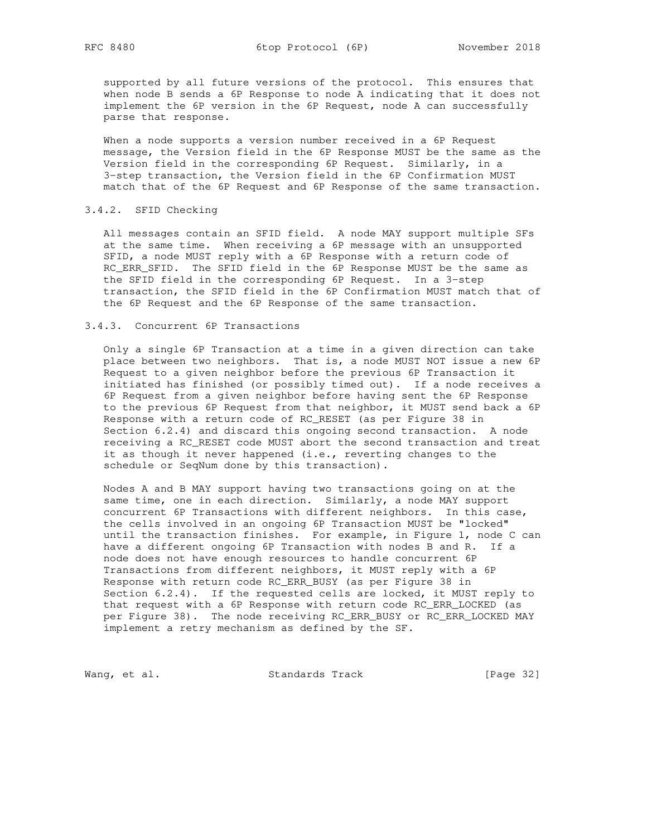supported by all future versions of the protocol. This ensures that when node B sends a 6P Response to node A indicating that it does not implement the 6P version in the 6P Request, node A can successfully parse that response.

 When a node supports a version number received in a 6P Request message, the Version field in the 6P Response MUST be the same as the Version field in the corresponding 6P Request. Similarly, in a 3-step transaction, the Version field in the 6P Confirmation MUST match that of the 6P Request and 6P Response of the same transaction.

## 3.4.2. SFID Checking

 All messages contain an SFID field. A node MAY support multiple SFs at the same time. When receiving a 6P message with an unsupported SFID, a node MUST reply with a 6P Response with a return code of RC\_ERR\_SFID. The SFID field in the 6P Response MUST be the same as the SFID field in the corresponding 6P Request. In a 3-step transaction, the SFID field in the 6P Confirmation MUST match that of the 6P Request and the 6P Response of the same transaction.

## 3.4.3. Concurrent 6P Transactions

 Only a single 6P Transaction at a time in a given direction can take place between two neighbors. That is, a node MUST NOT issue a new 6P Request to a given neighbor before the previous 6P Transaction it initiated has finished (or possibly timed out). If a node receives a 6P Request from a given neighbor before having sent the 6P Response to the previous 6P Request from that neighbor, it MUST send back a 6P Response with a return code of RC\_RESET (as per Figure 38 in Section 6.2.4) and discard this ongoing second transaction. A node receiving a RC\_RESET code MUST abort the second transaction and treat it as though it never happened (i.e., reverting changes to the schedule or SeqNum done by this transaction).

 Nodes A and B MAY support having two transactions going on at the same time, one in each direction. Similarly, a node MAY support concurrent 6P Transactions with different neighbors. In this case, the cells involved in an ongoing 6P Transaction MUST be "locked" until the transaction finishes. For example, in Figure 1, node C can have a different ongoing 6P Transaction with nodes B and R. If a node does not have enough resources to handle concurrent 6P Transactions from different neighbors, it MUST reply with a 6P Response with return code RC\_ERR\_BUSY (as per Figure 38 in Section 6.2.4). If the requested cells are locked, it MUST reply to that request with a 6P Response with return code RC\_ERR\_LOCKED (as per Figure 38). The node receiving RC\_ERR\_BUSY or RC\_ERR\_LOCKED MAY implement a retry mechanism as defined by the SF.

Wang, et al. Standards Track [Page 32]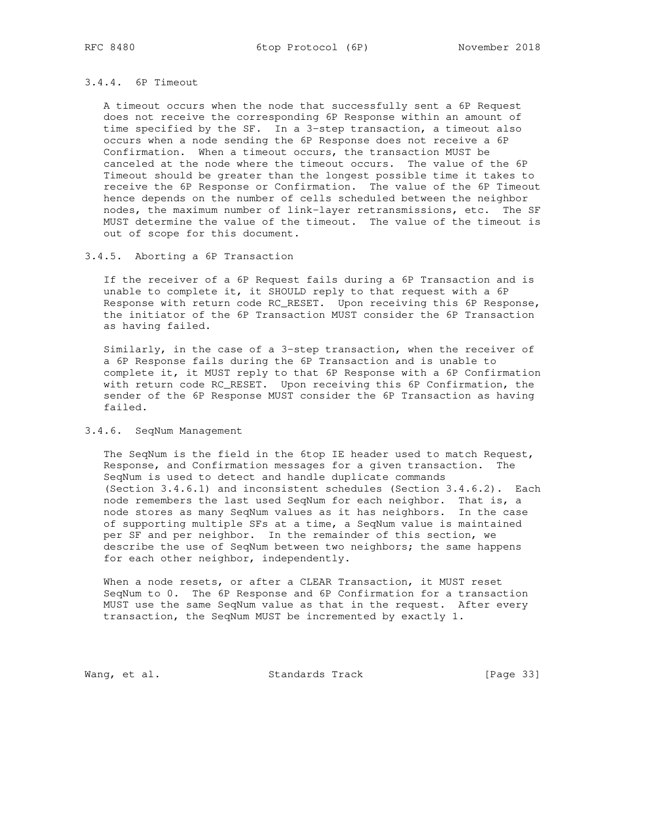## 3.4.4. 6P Timeout

 A timeout occurs when the node that successfully sent a 6P Request does not receive the corresponding 6P Response within an amount of time specified by the SF. In a 3-step transaction, a timeout also occurs when a node sending the 6P Response does not receive a 6P Confirmation. When a timeout occurs, the transaction MUST be canceled at the node where the timeout occurs. The value of the 6P Timeout should be greater than the longest possible time it takes to receive the 6P Response or Confirmation. The value of the 6P Timeout hence depends on the number of cells scheduled between the neighbor nodes, the maximum number of link-layer retransmissions, etc. The SF MUST determine the value of the timeout. The value of the timeout is out of scope for this document.

## 3.4.5. Aborting a 6P Transaction

 If the receiver of a 6P Request fails during a 6P Transaction and is unable to complete it, it SHOULD reply to that request with a 6P Response with return code RC\_RESET. Upon receiving this 6P Response, the initiator of the 6P Transaction MUST consider the 6P Transaction as having failed.

 Similarly, in the case of a 3-step transaction, when the receiver of a 6P Response fails during the 6P Transaction and is unable to complete it, it MUST reply to that 6P Response with a 6P Confirmation with return code RC\_RESET. Upon receiving this 6P Confirmation, the sender of the 6P Response MUST consider the 6P Transaction as having failed.

## 3.4.6. SeqNum Management

 The SeqNum is the field in the 6top IE header used to match Request, Response, and Confirmation messages for a given transaction. The SeqNum is used to detect and handle duplicate commands (Section 3.4.6.1) and inconsistent schedules (Section 3.4.6.2). Each node remembers the last used SeqNum for each neighbor. That is, a node stores as many SeqNum values as it has neighbors. In the case of supporting multiple SFs at a time, a SeqNum value is maintained per SF and per neighbor. In the remainder of this section, we describe the use of SeqNum between two neighbors; the same happens for each other neighbor, independently.

 When a node resets, or after a CLEAR Transaction, it MUST reset SeqNum to 0. The 6P Response and 6P Confirmation for a transaction MUST use the same SeqNum value as that in the request. After every transaction, the SeqNum MUST be incremented by exactly 1.

Wang, et al. Standards Track [Page 33]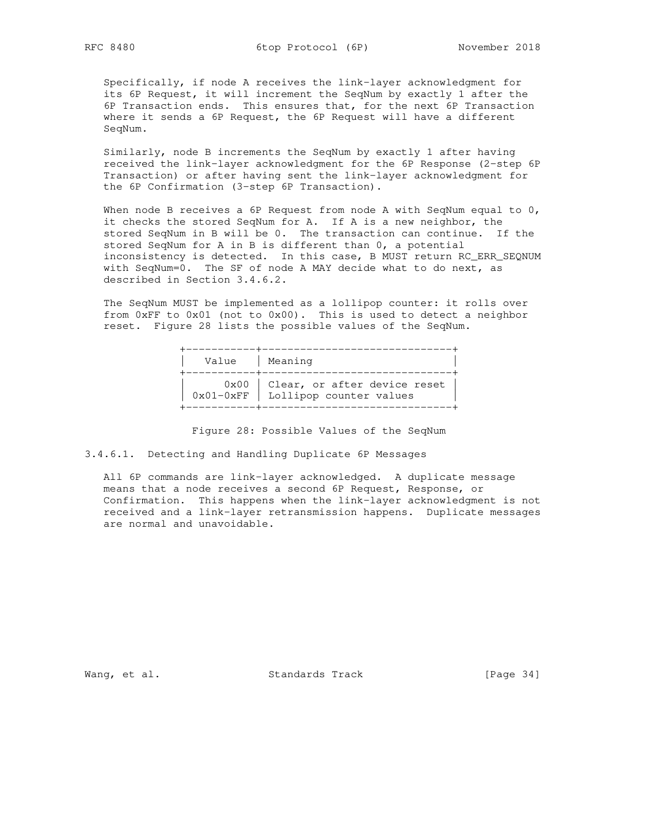Specifically, if node A receives the link-layer acknowledgment for its 6P Request, it will increment the SeqNum by exactly 1 after the 6P Transaction ends. This ensures that, for the next 6P Transaction where it sends a 6P Request, the 6P Request will have a different SeqNum.

 Similarly, node B increments the SeqNum by exactly 1 after having received the link-layer acknowledgment for the 6P Response (2-step 6P Transaction) or after having sent the link-layer acknowledgment for the 6P Confirmation (3-step 6P Transaction).

When node B receives a 6P Request from node A with SeqNum equal to  $0$ , it checks the stored SeqNum for A. If A is a new neighbor, the stored SeqNum in B will be 0. The transaction can continue. If the stored SeqNum for A in B is different than 0, a potential inconsistency is detected. In this case, B MUST return RC\_ERR\_SEQNUM with SeqNum=0. The SF of node A MAY decide what to do next, as described in Section 3.4.6.2.

 The SeqNum MUST be implemented as a lollipop counter: it rolls over from 0xFF to 0x01 (not to 0x00). This is used to detect a neighbor reset. Figure 28 lists the possible values of the SeqNum.

| Value   Meaning |                                                                                |
|-----------------|--------------------------------------------------------------------------------|
|                 | $0x00$   Clear, or after device reset  <br>0x01-0xFF   Lollipop counter values |

Figure 28: Possible Values of the SeqNum

3.4.6.1. Detecting and Handling Duplicate 6P Messages

 All 6P commands are link-layer acknowledged. A duplicate message means that a node receives a second 6P Request, Response, or Confirmation. This happens when the link-layer acknowledgment is not received and a link-layer retransmission happens. Duplicate messages are normal and unavoidable.

Wang, et al. Standards Track [Page 34]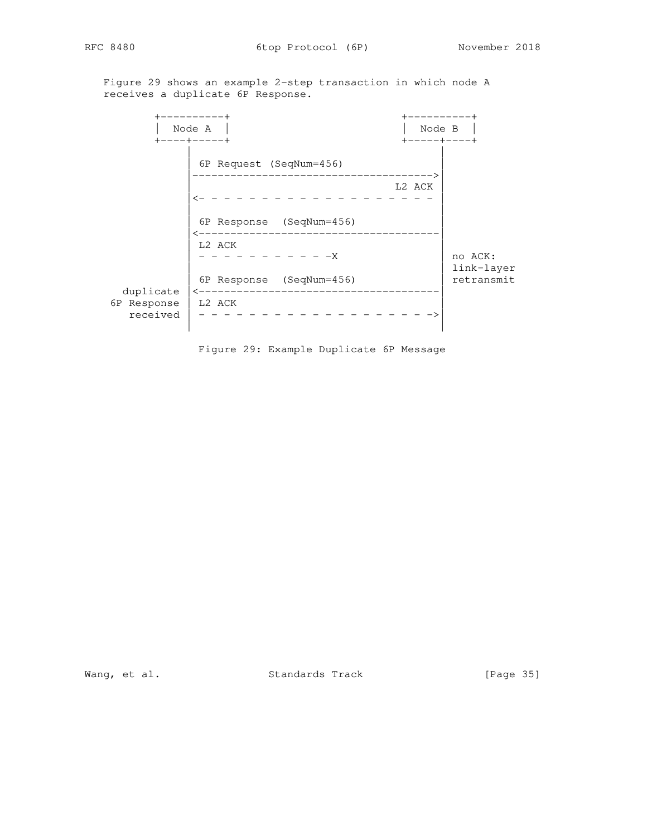Figure 29 shows an example 2-step transaction in which node A receives a duplicate 6P Response.

 +----------+ +----------+ | Node A | | Node B | +----+-----+ +-----+----+ | | | 6P Request (SeqNum=456) | |-------------------------------------->| L2 ACK |<- - - - - - - - - - - - - - - - - | | | 6P Response (SeqNum=456) | |<--------------------------------------| | L2 ACK | | - - - - - - - - - - -X | no ACK: | link-layer | link-layer | 6P Response (SeqNum=456) | retransmit duplicate |<--------------------------------------| 6P Response | L2 ACK | received  $|- - - - - - - - - - - - - - - - - - - \rangle$ | |

Figure 29: Example Duplicate 6P Message

Wang, et al. Standards Track [Page 35]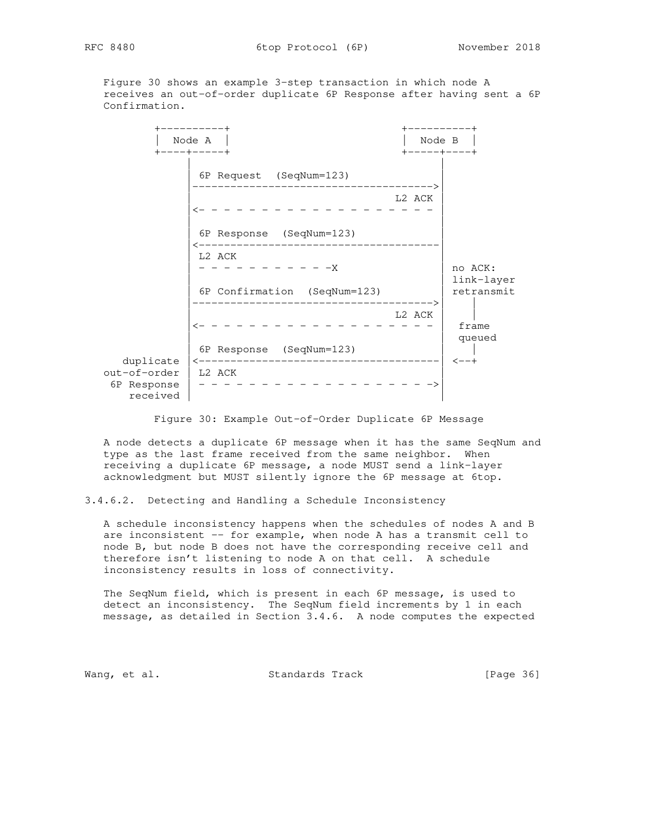Figure 30 shows an example 3-step transaction in which node A receives an out-of-order duplicate 6P Response after having sent a 6P Confirmation.

+-----------+<br>| Node A | | Node A | | Node B | +----+-----+ +-----+----+ | | | 6P Request (SeqNum=123) | |-------------------------------------->| L2 ACK |<- - - - - - - - - - - - - - - - - - - | | | | 6P Response (SeqNum=123) | |<--------------------------------------| | L2 ACK | | - - - - - - - - - - -X | no ACK: | link-layer | link-layer | 6P Confirmation (SeqNum=123) | retransmit |-------------------------------------->| | | L2 ACK | |  $\leftarrow$  - - - - - - - - - - - - - - - - | frame | queued<br>| | 6P Response (SeqNum=123) | | duplicate |<--------------------------------------| <--+ out-of-order | L2 ACK | 6P Response | - - - - - - - - - - - - - - - - - - ->| received | |

Figure 30: Example Out-of-Order Duplicate 6P Message

 A node detects a duplicate 6P message when it has the same SeqNum and type as the last frame received from the same neighbor. When receiving a duplicate 6P message, a node MUST send a link-layer acknowledgment but MUST silently ignore the 6P message at 6top.

3.4.6.2. Detecting and Handling a Schedule Inconsistency

 A schedule inconsistency happens when the schedules of nodes A and B are inconsistent -- for example, when node A has a transmit cell to node B, but node B does not have the corresponding receive cell and therefore isn't listening to node A on that cell. A schedule inconsistency results in loss of connectivity.

 The SeqNum field, which is present in each 6P message, is used to detect an inconsistency. The SeqNum field increments by 1 in each message, as detailed in Section 3.4.6. A node computes the expected

Wang, et al. Standards Track [Page 36]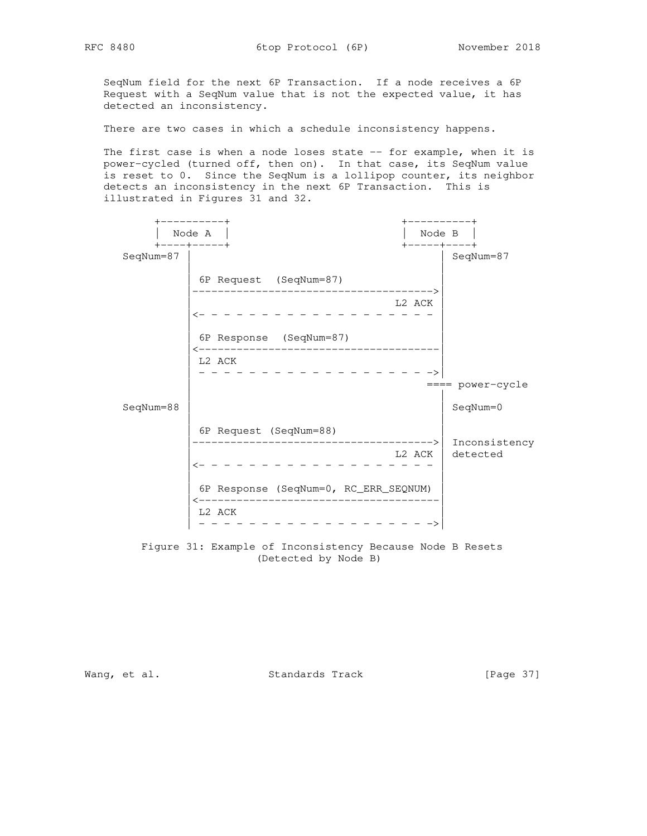SeqNum field for the next 6P Transaction. If a node receives a 6P Request with a SeqNum value that is not the expected value, it has detected an inconsistency.

There are two cases in which a schedule inconsistency happens.

The first case is when a node loses state -- for example, when it is power-cycled (turned off, then on). In that case, its SeqNum value is reset to 0. Since the SeqNum is a lollipop counter, its neighbor detects an inconsistency in the next 6P Transaction. This is illustrated in Figures 31 and 32.



 Figure 31: Example of Inconsistency Because Node B Resets (Detected by Node B)

Wang, et al. Standards Track [Page 37]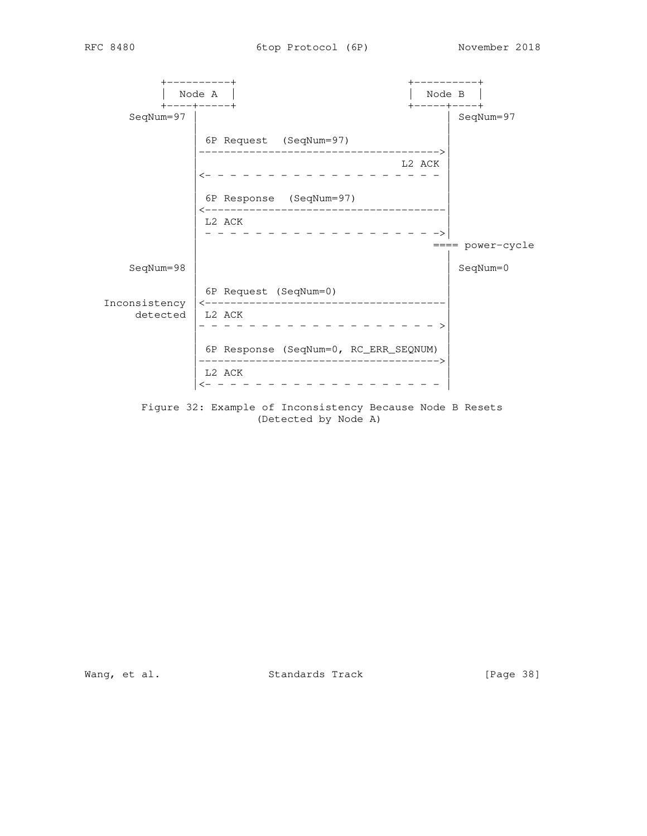+----------+ +----------+ | Node A | | Node B | +----+-----+ +-----+----+ | SeqNum=97 | | | 6P Request (SeqNum=97) | |-------------------------------------->| L2 ACK |<- - - - - - - - - - - - - - - - - - - | | | | 6P Response (SeqNum=97) | |<--------------------------------------| L2 ACK | - - - - - - - - - - - - - - - - - - ->| | ==== power-cycle | | SeqNum=98 | | SeqNum=0 | | | 6P Request (SeqNum=0) | Inconsistency |<--------------------------------------| detected | L2 ACK | |- - - - - - - - - - - - - - - - - - - >| | | | 6P Response (SeqNum=0, RC\_ERR\_SEQNUM) | |-------------------------------------->| L2 ACK |<- - - - - - - - - - - - - - - - - - - |

> Figure 32: Example of Inconsistency Because Node B Resets (Detected by Node A)

Wang, et al. Standards Track [Page 38]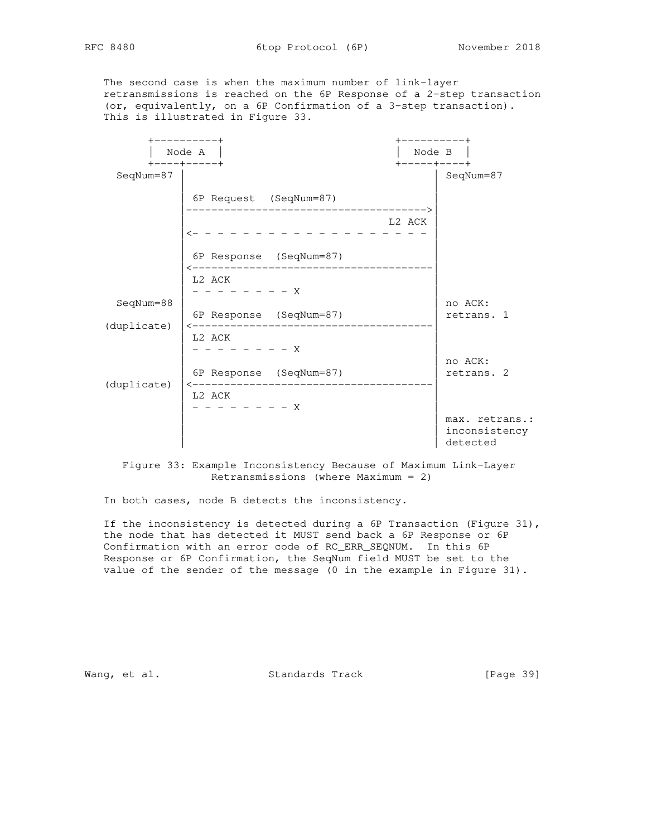The second case is when the maximum number of link-layer retransmissions is reached on the 6P Response of a 2-step transaction (or, equivalently, on a 6P Confirmation of a 3-step transaction). This is illustrated in Figure 33.

|             | -------+                                          |                           | ---------+                                  |
|-------------|---------------------------------------------------|---------------------------|---------------------------------------------|
|             | Node A<br>$+ - - - + - - - - +$                   | Node B<br>+-----+----+    |                                             |
| SeqNum=87   |                                                   |                           | SeqNum=87                                   |
|             | 6P Request (SeqNum=87)                            |                           |                                             |
|             |                                                   | --------------><br>L2 ACK |                                             |
|             | $\leftarrow - - -$                                |                           |                                             |
|             | 6P Response (SeqNum=87)<br>---------------        |                           |                                             |
|             | L2 ACK<br>$- - - - - - - - X$                     |                           |                                             |
| SeqNum=88   |                                                   |                           | no ACK:                                     |
|             | 6P Response (SeqNum=87)<br>--------------         |                           | retrans. 1                                  |
| (duplicate) | L2 ACK<br>$- - - - - - X$                         |                           |                                             |
|             |                                                   |                           | no ACK:                                     |
|             | 6P Response (SeqNum=87)<br>---------------------- |                           | retrans. 2                                  |
| (duplicate) | L2 ACK<br>$- - - - - - - - X$                     |                           |                                             |
|             |                                                   |                           | max. retrans.:<br>inconsistency<br>detected |

 Figure 33: Example Inconsistency Because of Maximum Link-Layer Retransmissions (where Maximum = 2)

In both cases, node B detects the inconsistency.

If the inconsistency is detected during a 6P Transaction (Figure 31), the node that has detected it MUST send back a 6P Response or 6P Confirmation with an error code of RC\_ERR\_SEQNUM. In this 6P Response or 6P Confirmation, the SeqNum field MUST be set to the value of the sender of the message (0 in the example in Figure 31).

Wang, et al. Standards Track [Page 39]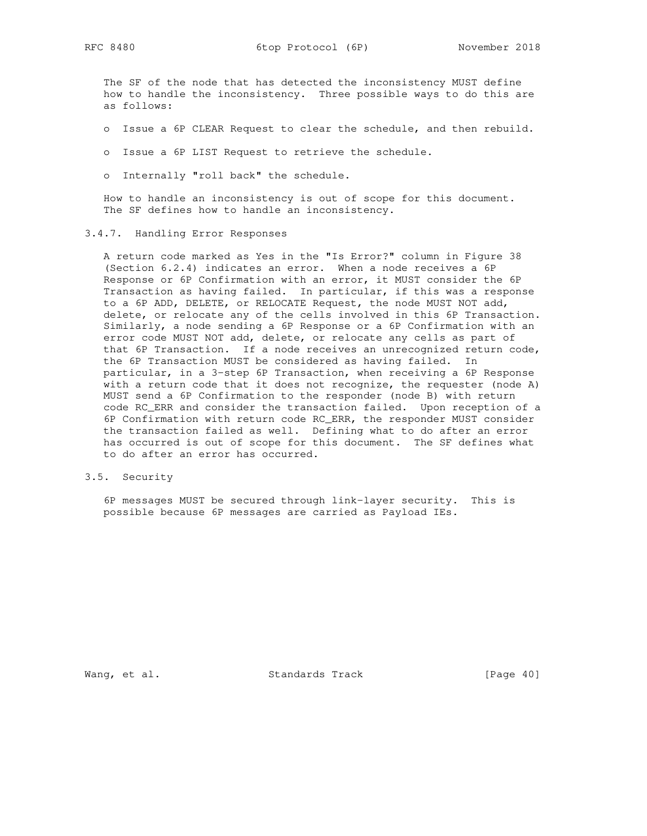The SF of the node that has detected the inconsistency MUST define how to handle the inconsistency. Three possible ways to do this are as follows:

- o Issue a 6P CLEAR Request to clear the schedule, and then rebuild.
- o Issue a 6P LIST Request to retrieve the schedule.
- o Internally "roll back" the schedule.

 How to handle an inconsistency is out of scope for this document. The SF defines how to handle an inconsistency.

### 3.4.7. Handling Error Responses

 A return code marked as Yes in the "Is Error?" column in Figure 38 (Section 6.2.4) indicates an error. When a node receives a 6P Response or 6P Confirmation with an error, it MUST consider the 6P Transaction as having failed. In particular, if this was a response to a 6P ADD, DELETE, or RELOCATE Request, the node MUST NOT add, delete, or relocate any of the cells involved in this 6P Transaction. Similarly, a node sending a 6P Response or a 6P Confirmation with an error code MUST NOT add, delete, or relocate any cells as part of that 6P Transaction. If a node receives an unrecognized return code, the 6P Transaction MUST be considered as having failed. In particular, in a 3-step 6P Transaction, when receiving a 6P Response with a return code that it does not recognize, the requester (node A) MUST send a 6P Confirmation to the responder (node B) with return code RC\_ERR and consider the transaction failed. Upon reception of a 6P Confirmation with return code RC\_ERR, the responder MUST consider the transaction failed as well. Defining what to do after an error has occurred is out of scope for this document. The SF defines what to do after an error has occurred.

# 3.5. Security

 6P messages MUST be secured through link-layer security. This is possible because 6P messages are carried as Payload IEs.

Wang, et al. Standards Track [Page 40]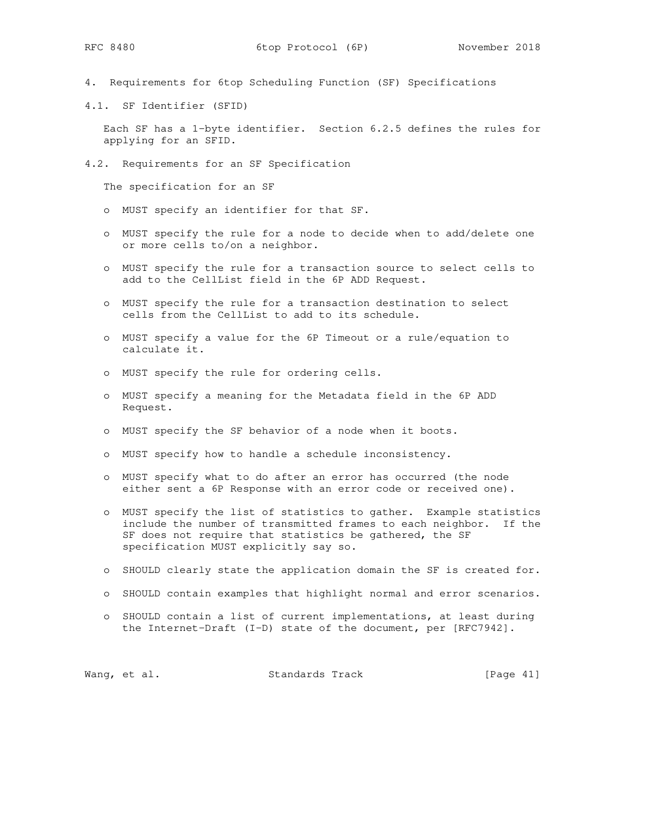- 4. Requirements for 6top Scheduling Function (SF) Specifications
- 4.1. SF Identifier (SFID)

 Each SF has a 1-byte identifier. Section 6.2.5 defines the rules for applying for an SFID.

4.2. Requirements for an SF Specification

The specification for an SF

- o MUST specify an identifier for that SF.
- o MUST specify the rule for a node to decide when to add/delete one or more cells to/on a neighbor.
- o MUST specify the rule for a transaction source to select cells to add to the CellList field in the 6P ADD Request.
- o MUST specify the rule for a transaction destination to select cells from the CellList to add to its schedule.
- o MUST specify a value for the 6P Timeout or a rule/equation to calculate it.
- o MUST specify the rule for ordering cells.
- o MUST specify a meaning for the Metadata field in the 6P ADD Request.
- o MUST specify the SF behavior of a node when it boots.
- o MUST specify how to handle a schedule inconsistency.
- o MUST specify what to do after an error has occurred (the node either sent a 6P Response with an error code or received one).
- o MUST specify the list of statistics to gather. Example statistics include the number of transmitted frames to each neighbor. If the SF does not require that statistics be gathered, the SF specification MUST explicitly say so.
- o SHOULD clearly state the application domain the SF is created for.
- o SHOULD contain examples that highlight normal and error scenarios.
- o SHOULD contain a list of current implementations, at least during the Internet-Draft (I-D) state of the document, per [RFC7942].

|  | Wang, et al. | Standards Track |  | [Page 41] |  |
|--|--------------|-----------------|--|-----------|--|
|--|--------------|-----------------|--|-----------|--|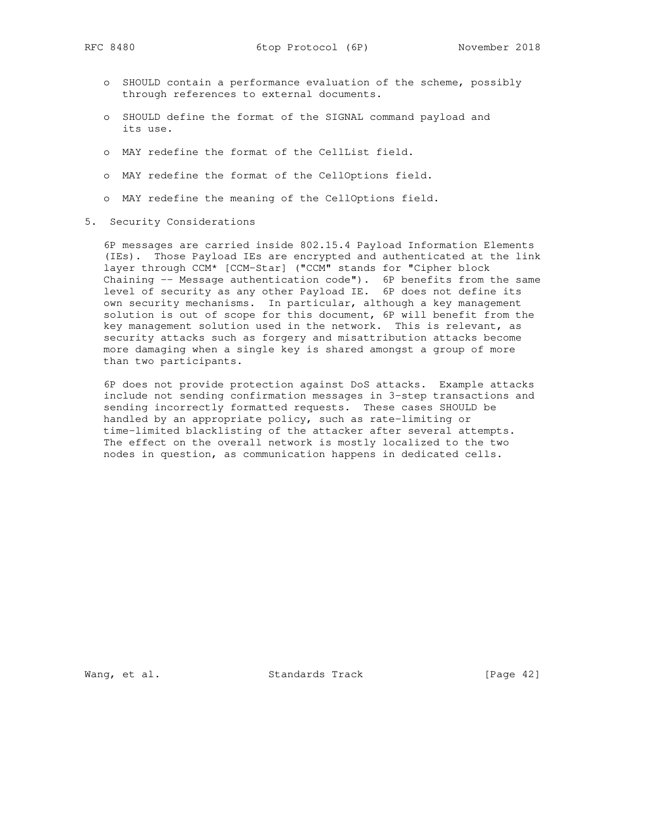- o SHOULD contain a performance evaluation of the scheme, possibly through references to external documents.
- o SHOULD define the format of the SIGNAL command payload and its use.
- o MAY redefine the format of the CellList field.
- o MAY redefine the format of the CellOptions field.
- o MAY redefine the meaning of the CellOptions field.
- 5. Security Considerations

 6P messages are carried inside 802.15.4 Payload Information Elements (IEs). Those Payload IEs are encrypted and authenticated at the link layer through CCM\* [CCM-Star] ("CCM" stands for "Cipher block Chaining -- Message authentication code"). 6P benefits from the same level of security as any other Payload IE. 6P does not define its own security mechanisms. In particular, although a key management solution is out of scope for this document, 6P will benefit from the key management solution used in the network. This is relevant, as security attacks such as forgery and misattribution attacks become more damaging when a single key is shared amongst a group of more than two participants.

 6P does not provide protection against DoS attacks. Example attacks include not sending confirmation messages in 3-step transactions and sending incorrectly formatted requests. These cases SHOULD be handled by an appropriate policy, such as rate-limiting or time-limited blacklisting of the attacker after several attempts. The effect on the overall network is mostly localized to the two nodes in question, as communication happens in dedicated cells.

Wang, et al. Standards Track [Page 42]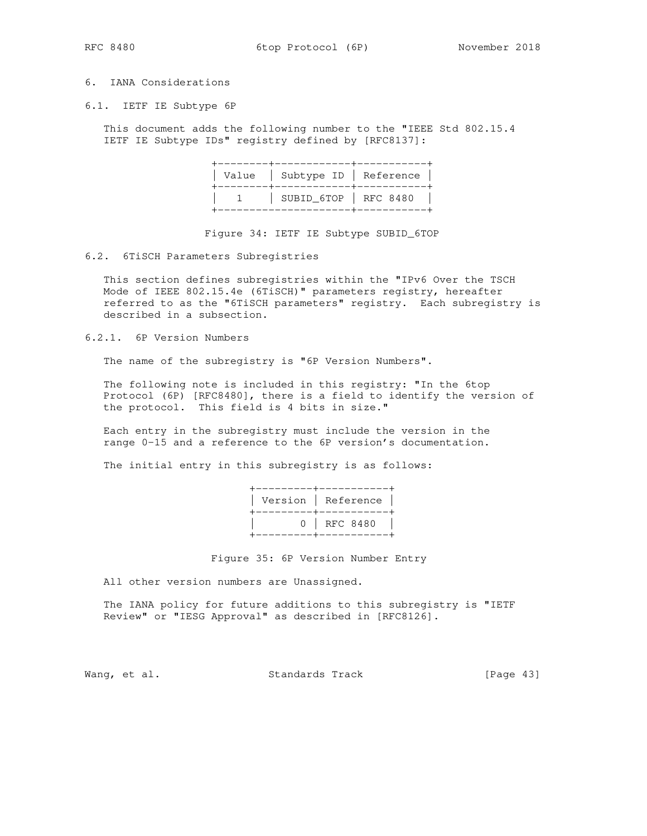RFC 8480 6top Protocol (6P) November 2018

# 6. IANA Considerations

6.1. IETF IE Subtype 6P

 This document adds the following number to the "IEEE Std 802.15.4 IETF IE Subtype IDs" registry defined by [RFC8137]:

Figure 34: IETF IE Subtype SUBID\_6TOP

### 6.2. 6TiSCH Parameters Subregistries

 This section defines subregistries within the "IPv6 Over the TSCH Mode of IEEE 802.15.4e (6TiSCH)" parameters registry, hereafter referred to as the "6TiSCH parameters" registry. Each subregistry is described in a subsection.

6.2.1. 6P Version Numbers

The name of the subregistry is "6P Version Numbers".

 The following note is included in this registry: "In the 6top Protocol (6P) [RFC8480], there is a field to identify the version of the protocol. This field is 4 bits in size."

 Each entry in the subregistry must include the version in the range 0-15 and a reference to the 6P version's documentation.

The initial entry in this subregistry is as follows:

Figure 35: 6P Version Number Entry

All other version numbers are Unassigned.

 The IANA policy for future additions to this subregistry is "IETF Review" or "IESG Approval" as described in [RFC8126].

Wang, et al. Standards Track [Page 43]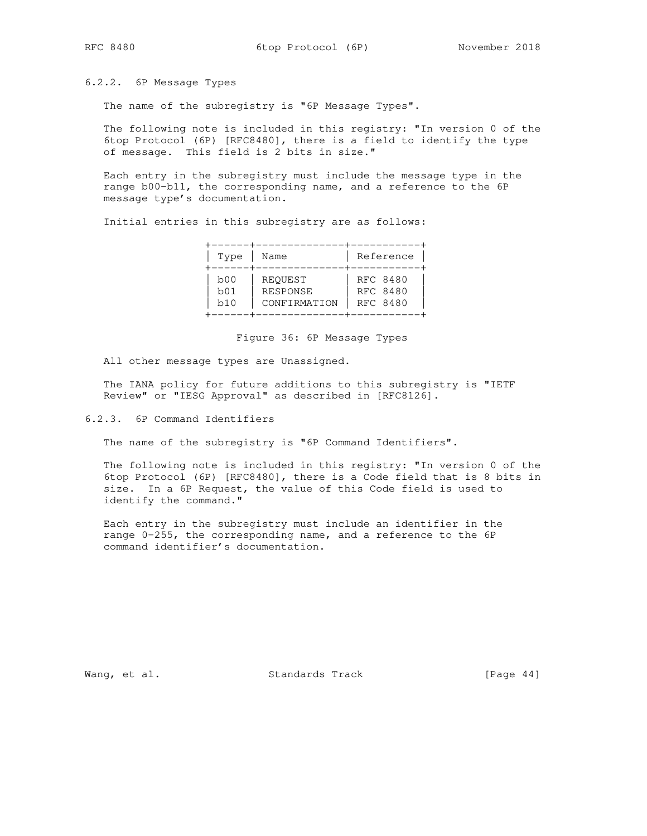6.2.2. 6P Message Types

The name of the subregistry is "6P Message Types".

 The following note is included in this registry: "In version 0 of the 6top Protocol (6P) [RFC8480], there is a field to identify the type of message. This field is 2 bits in size."

 Each entry in the subregistry must include the message type in the range b00-b11, the corresponding name, and a reference to the 6P message type's documentation.

Initial entries in this subregistry are as follows:

| Type | Name         | Reference |
|------|--------------|-----------|
| b00  | REQUEST      | RFC 8480  |
| b01  | RESPONSE     | RFC 8480  |
| b10  | CONFIRMATION | RFC 8480  |

Figure 36: 6P Message Types

All other message types are Unassigned.

 The IANA policy for future additions to this subregistry is "IETF Review" or "IESG Approval" as described in [RFC8126].

6.2.3. 6P Command Identifiers

The name of the subregistry is "6P Command Identifiers".

 The following note is included in this registry: "In version 0 of the 6top Protocol (6P) [RFC8480], there is a Code field that is 8 bits in size. In a 6P Request, the value of this Code field is used to identify the command."

 Each entry in the subregistry must include an identifier in the range 0-255, the corresponding name, and a reference to the 6P command identifier's documentation.

Wang, et al. Standards Track [Page 44]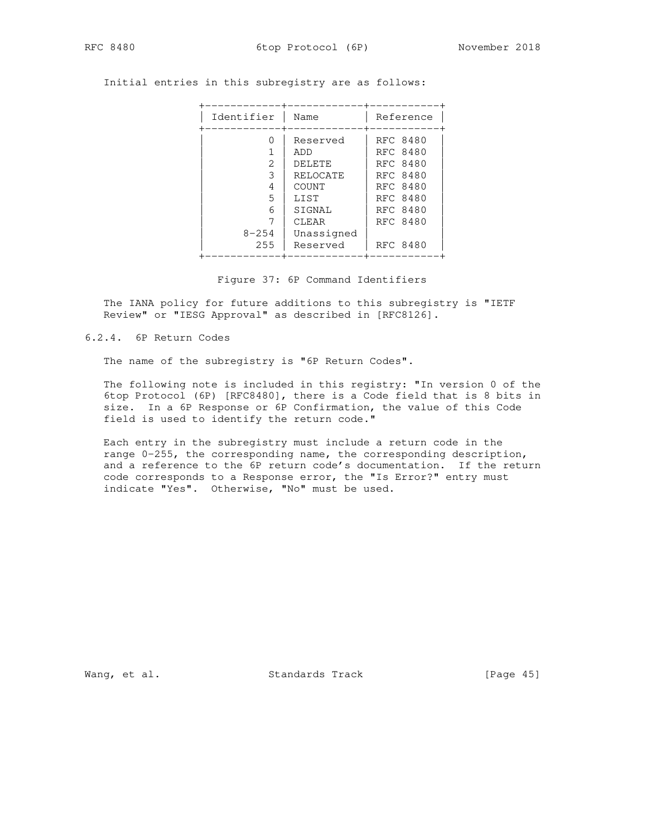RFC 8480 6top Protocol (6P) November 2018

Initial entries in this subregistry are as follows:

Figure 37: 6P Command Identifiers

 The IANA policy for future additions to this subregistry is "IETF Review" or "IESG Approval" as described in [RFC8126].

6.2.4. 6P Return Codes

The name of the subregistry is "6P Return Codes".

 The following note is included in this registry: "In version 0 of the 6top Protocol (6P) [RFC8480], there is a Code field that is 8 bits in size. In a 6P Response or 6P Confirmation, the value of this Code field is used to identify the return code."

 Each entry in the subregistry must include a return code in the range 0-255, the corresponding name, the corresponding description, and a reference to the 6P return code's documentation. If the return code corresponds to a Response error, the "Is Error?" entry must indicate "Yes". Otherwise, "No" must be used.

Wang, et al. Standards Track [Page 45]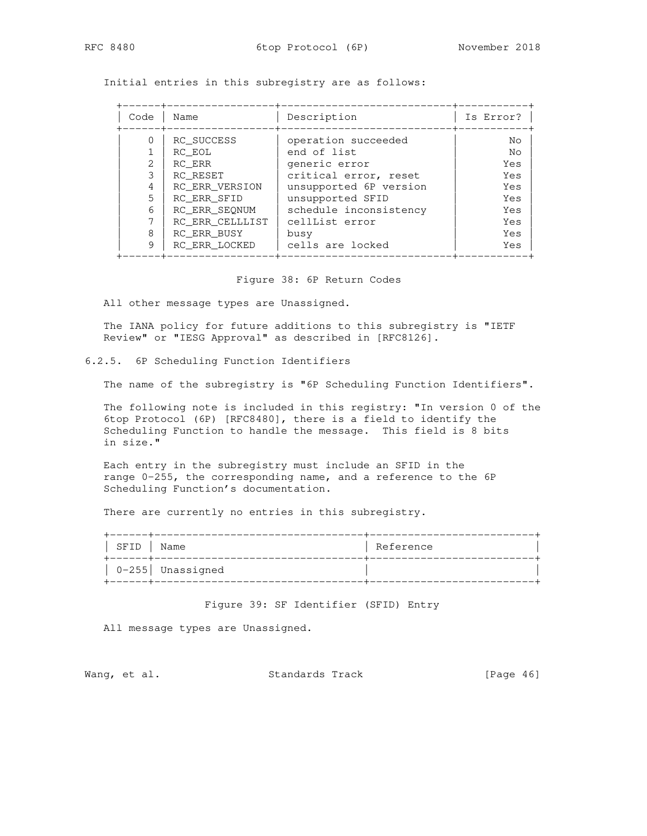Initial entries in this subregistry are as follows:

| Code | Name            | Description            | Is Error? |
|------|-----------------|------------------------|-----------|
|      | RC SUCCESS      | operation succeeded    | Nο        |
|      | RC EOL          | end of list            | No        |
|      | RC ERR          | generic error          | Yes       |
| 3    | RC RESET        | critical error, reset  | Yes       |
| 4    | RC ERR VERSION  | unsupported 6P version | Yes       |
| 5    | RC ERR SFID     | unsupported SFID       | Yes       |
| 6    | RC ERR SEONUM   | schedule inconsistency | Yes       |
|      | RC ERR CELLLIST | cellList error         | Yes       |
| 8    | RC ERR BUSY     | busy                   | Yes       |
| 9    | RC ERR LOCKED   | cells are locked       | Yes       |

Figure 38: 6P Return Codes

All other message types are Unassigned.

 The IANA policy for future additions to this subregistry is "IETF Review" or "IESG Approval" as described in [RFC8126].

## 6.2.5. 6P Scheduling Function Identifiers

The name of the subregistry is "6P Scheduling Function Identifiers".

 The following note is included in this registry: "In version 0 of the 6top Protocol (6P) [RFC8480], there is a field to identify the Scheduling Function to handle the message. This field is 8 bits in size."

 Each entry in the subregistry must include an SFID in the range 0-255, the corresponding name, and a reference to the 6P Scheduling Function's documentation.

There are currently no entries in this subregistry.

| SFID | Name               | Reference |
|------|--------------------|-----------|
|      | $0-255$ Unassigned |           |

Figure 39: SF Identifier (SFID) Entry

All message types are Unassigned.

Wang, et al. Standards Track [Page 46]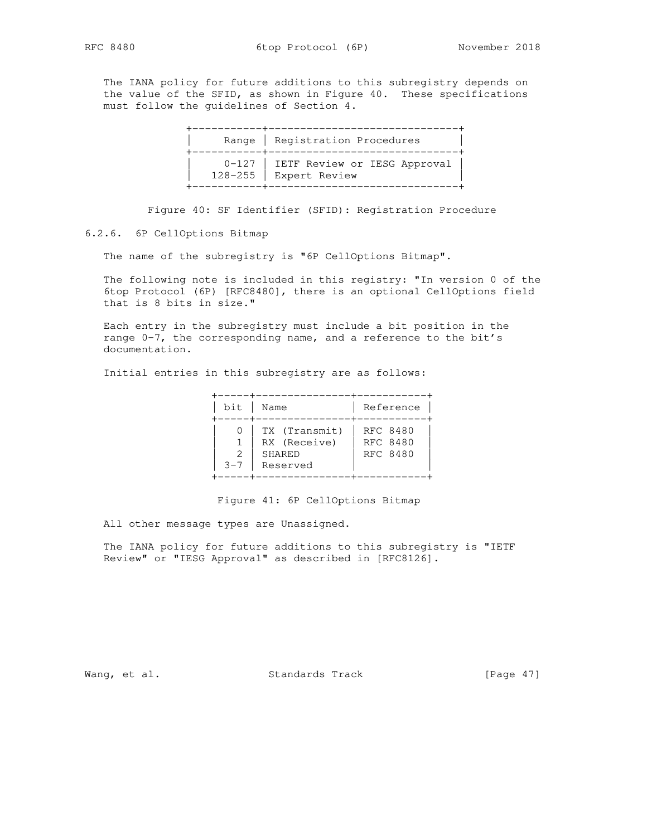The IANA policy for future additions to this subregistry depends on the value of the SFID, as shown in Figure 40. These specifications must follow the guidelines of Section 4.

|  | Range   Registration Procedures                                   |
|--|-------------------------------------------------------------------|
|  | 0-127   IETF Review or IESG Approval  <br>128-255   Expert Review |

Figure 40: SF Identifier (SFID): Registration Procedure

## 6.2.6. 6P CellOptions Bitmap

The name of the subregistry is "6P CellOptions Bitmap".

 The following note is included in this registry: "In version 0 of the 6top Protocol (6P) [RFC8480], there is an optional CellOptions field that is 8 bits in size."

 Each entry in the subregistry must include a bit position in the range 0-7, the corresponding name, and a reference to the bit's documentation.

Initial entries in this subregistry are as follows:

| bit          | Name                                                | Reference                        |
|--------------|-----------------------------------------------------|----------------------------------|
| 2<br>$3 - 7$ | TX (Transmit)<br>RX (Receive)<br>SHARED<br>Reserved | RFC 8480<br>RFC 8480<br>RFC 8480 |

Figure 41: 6P CellOptions Bitmap

All other message types are Unassigned.

 The IANA policy for future additions to this subregistry is "IETF Review" or "IESG Approval" as described in [RFC8126].

Wang, et al. Standards Track [Page 47]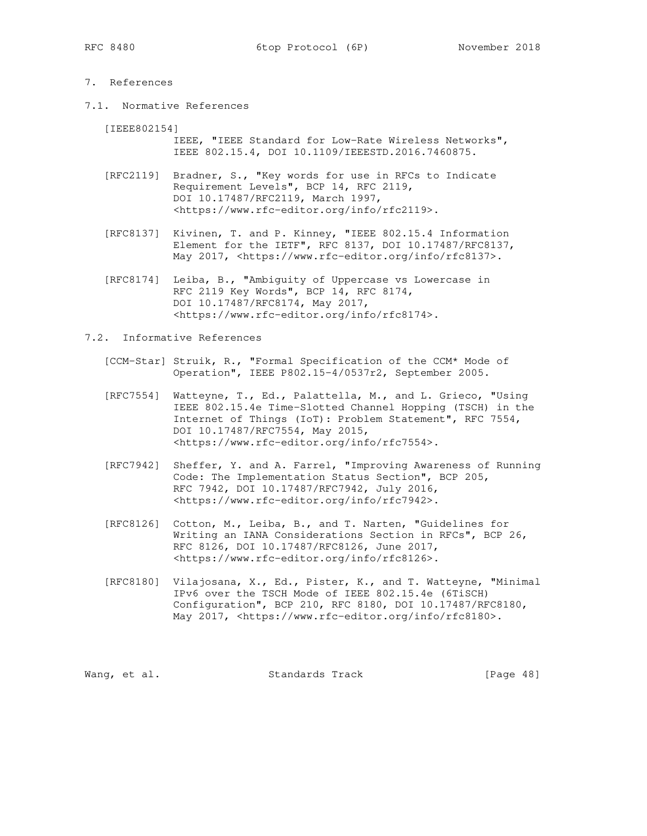## 7. References

7.1. Normative References

[IEEE802154]

 IEEE, "IEEE Standard for Low-Rate Wireless Networks", IEEE 802.15.4, DOI 10.1109/IEEESTD.2016.7460875.

- [RFC2119] Bradner, S., "Key words for use in RFCs to Indicate Requirement Levels", BCP 14, RFC 2119, DOI 10.17487/RFC2119, March 1997, <https://www.rfc-editor.org/info/rfc2119>.
- [RFC8137] Kivinen, T. and P. Kinney, "IEEE 802.15.4 Information Element for the IETF", RFC 8137, DOI 10.17487/RFC8137, May 2017, <https://www.rfc-editor.org/info/rfc8137>.
- [RFC8174] Leiba, B., "Ambiguity of Uppercase vs Lowercase in RFC 2119 Key Words", BCP 14, RFC 8174, DOI 10.17487/RFC8174, May 2017, <https://www.rfc-editor.org/info/rfc8174>.

## 7.2. Informative References

- [CCM-Star] Struik, R., "Formal Specification of the CCM\* Mode of Operation", IEEE P802.15-4/0537r2, September 2005.
- [RFC7554] Watteyne, T., Ed., Palattella, M., and L. Grieco, "Using IEEE 802.15.4e Time-Slotted Channel Hopping (TSCH) in the Internet of Things (IoT): Problem Statement", RFC 7554, DOI 10.17487/RFC7554, May 2015, <https://www.rfc-editor.org/info/rfc7554>.
- [RFC7942] Sheffer, Y. and A. Farrel, "Improving Awareness of Running Code: The Implementation Status Section", BCP 205, RFC 7942, DOI 10.17487/RFC7942, July 2016, <https://www.rfc-editor.org/info/rfc7942>.
- [RFC8126] Cotton, M., Leiba, B., and T. Narten, "Guidelines for Writing an IANA Considerations Section in RFCs", BCP 26, RFC 8126, DOI 10.17487/RFC8126, June 2017, <https://www.rfc-editor.org/info/rfc8126>.
- [RFC8180] Vilajosana, X., Ed., Pister, K., and T. Watteyne, "Minimal IPv6 over the TSCH Mode of IEEE 802.15.4e (6TiSCH) Configuration", BCP 210, RFC 8180, DOI 10.17487/RFC8180, May 2017, <https://www.rfc-editor.org/info/rfc8180>.

Wang, et al. Standards Track [Page 48]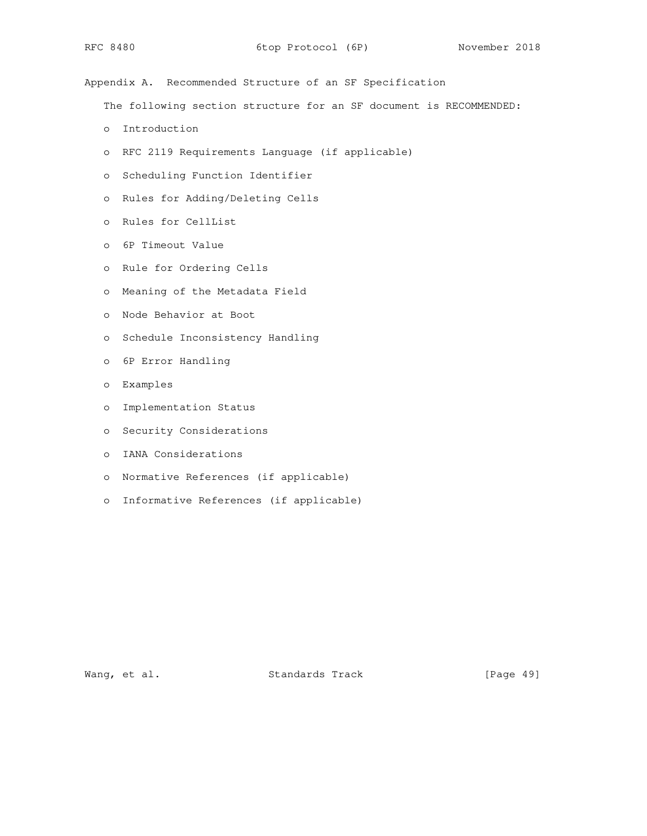Appendix A. Recommended Structure of an SF Specification

The following section structure for an SF document is RECOMMENDED:

- o Introduction
- o RFC 2119 Requirements Language (if applicable)
- o Scheduling Function Identifier
- o Rules for Adding/Deleting Cells
- o Rules for CellList
- o 6P Timeout Value
- o Rule for Ordering Cells
- o Meaning of the Metadata Field
- o Node Behavior at Boot
- o Schedule Inconsistency Handling
- o 6P Error Handling
- o Examples
- o Implementation Status
- o Security Considerations
- o IANA Considerations
- o Normative References (if applicable)
- o Informative References (if applicable)

Wang, et al. Standards Track [Page 49]